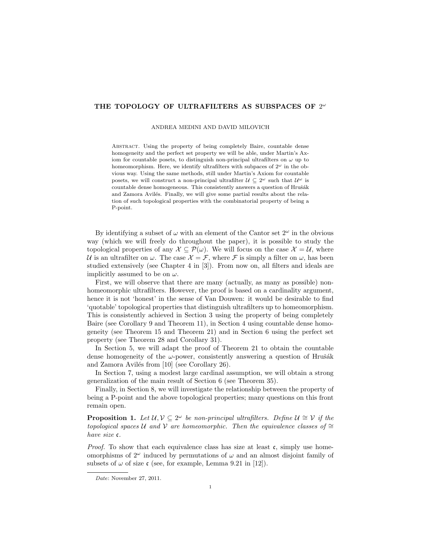# THE TOPOLOGY OF ULTRAFILTERS AS SUBSPACES OF  $2^\omega$

ANDREA MEDINI AND DAVID MILOVICH

Abstract. Using the property of being completely Baire, countable dense homogeneity and the perfect set property we will be able, under Martin's Axiom for countable posets, to distinguish non-principal ultrafilters on  $\omega$  up to homeomorphism. Here, we identify ultrafilters with subpaces of  $2^{\omega}$  in the obvious way. Using the same methods, still under Martin's Axiom for countable posets, we will construct a non-principal ultrafilter  $\mathcal{U} \subseteq 2^{\omega}$  such that  $\mathcal{U}^{\omega}$  is countable dense homogeneous. This consistently answers a question of Hrušák and Zamora Avilés. Finally, we will give some partial results about the relation of such topological properties with the combinatorial property of being a P-point.

By identifying a subset of  $\omega$  with an element of the Cantor set  $2^{\omega}$  in the obvious way (which we will freely do throughout the paper), it is possible to study the topological properties of any  $\mathcal{X} \subseteq \mathcal{P}(\omega)$ . We will focus on the case  $\mathcal{X} = \mathcal{U}$ , where U is an ultrafilter on  $\omega$ . The case  $\mathcal{X} = \mathcal{F}$ , where  $\mathcal{F}$  is simply a filter on  $\omega$ , has been studied extensively (see Chapter 4 in [3]). From now on, all filters and ideals are implicitly assumed to be on  $\omega$ .

First, we will observe that there are many (actually, as many as possible) nonhomeomorphic ultrafilters. However, the proof is based on a cardinality argument, hence it is not 'honest' in the sense of Van Douwen: it would be desirable to find 'quotable' topological properties that distinguish ultrafilters up to homeomorphism. This is consistently achieved in Section 3 using the property of being completely Baire (see Corollary 9 and Theorem 11), in Section 4 using countable dense homogeneity (see Theorem 15 and Theorem 21) and in Section 6 using the perfect set property (see Theorem 28 and Corollary 31).

In Section 5, we will adapt the proof of Theorem 21 to obtain the countable dense homogeneity of the  $\omega$ -power, consistently answering a question of Hrušák and Zamora Avilés from  $[10]$  (see Corollary 26).

In Section 7, using a modest large cardinal assumption, we will obtain a strong generalization of the main result of Section 6 (see Theorem 35).

Finally, in Section 8, we will investigate the relationship between the property of being a P-point and the above topological properties; many questions on this front remain open.

**Proposition 1.** Let  $\mathcal{U}, \mathcal{V} \subseteq 2^{\omega}$  be non-principal ultrafilters. Define  $\mathcal{U} \cong \mathcal{V}$  if the topological spaces U and V are homeomorphic. Then the equivalence classes of  $\cong$ have size c.

*Proof.* To show that each equivalence class has size at least  $\mathfrak{c}$ , simply use homeomorphisms of  $2^{\omega}$  induced by permutations of  $\omega$  and an almost disjoint family of subsets of  $\omega$  of size c (see, for example, Lemma 9.21 in [12]).

Date: November 27, 2011.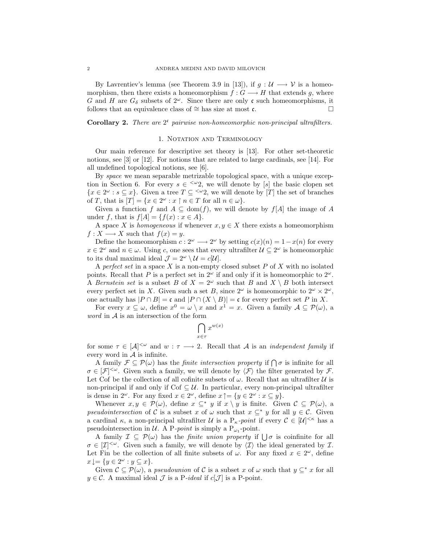By Lavrentiev's lemma (see Theorem 3.9 in [13]), if  $g: U \longrightarrow V$  is a homeomorphism, then there exists a homeomorphism  $f: G \longrightarrow H$  that extends g, where G and H are  $G_{\delta}$  subsets of  $2^{\omega}$ . Since there are only c such homeomorphisms, it follows that an equivalence class of  $\cong$  has size at most c.

Corollary 2. There are  $2^c$  pairwise non-homeomorphic non-principal ultrafilters.

#### 1. NOTATION AND TERMINOLOGY

Our main reference for descriptive set theory is [13]. For other set-theoretic notions, see [3] or [12]. For notions that are related to large cardinals, see [14]. For all undefined topological notions, see [6].

By *space* we mean separable metrizable topological space, with a unique exception in Section 6. For every  $s \in \langle \omega_2 \rangle$ , we will denote by [s] the basic clopen set  $\{x \in 2^{\omega} : s \subseteq x\}.$  Given a tree  $T \subseteq \langle x, \omega \rangle$  we will denote by  $[T]$  the set of branches of T, that is  $[T] = \{x \in 2^{\omega} : x \restriction n \in T \text{ for all } n \in \omega\}.$ 

Given a function f and  $A \subseteq \text{dom}(f)$ , we will denote by  $f[A]$  the image of A under f, that is  $f[A] = \{f(x) : x \in A\}.$ 

A space X is homogeneous if whenever  $x, y \in X$  there exists a homeomorphism  $f: X \longrightarrow X$  such that  $f(x) = y$ .

Define the homeomorphism  $c: 2^{\omega} \longrightarrow 2^{\omega}$  by setting  $c(x)(n) = 1 - x(n)$  for every  $x \in 2^{\omega}$  and  $n \in \omega$ . Using c, one sees that every ultrafilter  $\mathcal{U} \subseteq 2^{\omega}$  is homeomorphic to its dual maximal ideal  $\mathcal{J} = 2^{\omega} \setminus \mathcal{U} = c[\mathcal{U}].$ 

A perfect set in a space X is a non-empty closed subset  $P$  of X with no isolated points. Recall that P is a perfect set in  $2^{\omega}$  if and only if it is homeomorphic to  $2^{\omega}$ . A Bernstein set is a subset B of  $X = 2^{\omega}$  such that B and  $X \setminus B$  both intersect every perfect set in X. Given such a set B, since  $2^{\omega}$  is homeomorphic to  $2^{\omega} \times 2^{\omega}$ , one actually has  $|P \cap B| = \mathfrak{c}$  and  $|P \cap (X \setminus B)| = \mathfrak{c}$  for every perfect set P in X.

For every  $x \subseteq \omega$ , define  $x^0 = \omega \setminus x$  and  $x^1 = x$ . Given a family  $\mathcal{A} \subseteq \mathcal{P}(\omega)$ , a word in A is an intersection of the form

$$
\bigcap_{x\in\tau} x^{w(x)}
$$

for some  $\tau \in [\mathcal{A}]^{\leq \omega}$  and  $w : \tau \longrightarrow 2$ . Recall that A is an *independent family* if every word in  $A$  is infinite.

A family  $\mathcal{F} \subseteq \mathcal{P}(\omega)$  has the *finite intersection property* if  $\bigcap \sigma$  is infinite for all  $\sigma \in [\mathcal{F}]^{\leq \omega}$ . Given such a family, we will denote by  $\langle \mathcal{F} \rangle$  the filter generated by  $\mathcal{F}$ . Let Cof be the collection of all cofinite subsets of  $\omega$ . Recall that an ultrafilter U is non-principal if and only if Cof  $\subseteq \mathcal{U}$ . In particular, every non-principal ultrafilter is dense in  $2^{\omega}$ . For any fixed  $x \in 2^{\omega}$ , define  $x \uparrow = \{y \in 2^{\omega} : x \subseteq y\}.$ 

Whenever  $x, y \in \mathcal{P}(\omega)$ , define  $x \subseteq^* y$  if  $x \setminus y$  is finite. Given  $\mathcal{C} \subseteq \mathcal{P}(\omega)$ , a pseudointersection of C is a subset x of  $\omega$  such that  $x \subseteq^* y$  for all  $y \in \mathcal{C}$ . Given a cardinal  $\kappa$ , a non-principal ultrafilter U is a  $P_{\kappa}$ -point if every  $\mathcal{C} \in [\mathcal{U}]^{<\kappa}$  has a pseudointersection in  $U$ . A P-*point* is simply a P<sub> $\omega_1$ </sub>-point.

A family  $\mathcal{I} \subseteq \mathcal{P}(\omega)$  has the *finite union property* if  $\bigcup \sigma$  is coinfinite for all  $\sigma \in [\mathcal{I}]^{\leq \omega}$ . Given such a family, we will denote by  $\langle \mathcal{I} \rangle$  the ideal generated by  $\mathcal{I}$ . Let Fin be the collection of all finite subsets of  $\omega$ . For any fixed  $x \in 2^{\omega}$ , define  $x \downarrow = \{ y \in 2^{\omega} : y \subseteq x \}.$ 

Given  $\mathcal{C} \subseteq \mathcal{P}(\omega)$ , a *pseudounion* of C is a subset x of  $\omega$  such that  $y \subseteq^* x$  for all  $y \in \mathcal{C}$ . A maximal ideal  $\mathcal{J}$  is a P-ideal if  $c[\mathcal{J}]$  is a P-point.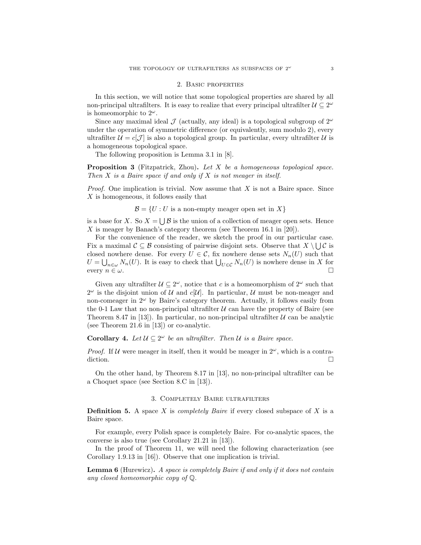#### 2. Basic properties

In this section, we will notice that some topological properties are shared by all non-principal ultrafilters. It is easy to realize that every principal ultrafilter  $\mathcal{U} \subseteq 2^{\omega}$ is homeomorphic to  $2^{\omega}$ .

Since any maximal ideal  $\mathcal J$  (actually, any ideal) is a topological subgroup of  $2^{\omega}$ under the operation of symmetric difference (or equivalently, sum modulo 2), every ultrafilter  $\mathcal{U} = c[\mathcal{J}]$  is also a topological group. In particular, every ultrafilter U is a homogeneous topological space.

The following proposition is Lemma 3.1 in [8].

**Proposition 3** (Fitzpatrick, Zhou). Let  $X$  be a homogeneous topological space. Then  $X$  is a Baire space if and only if  $X$  is not meager in itself.

*Proof.* One implication is trivial. Now assume that  $X$  is not a Baire space. Since X is homogeneous, it follows easily that

 $\mathcal{B} = \{U : U$  is a non-empty meager open set in X}

is a base for X. So  $X = \bigcup \mathcal{B}$  is the union of a collection of meager open sets. Hence X is meager by Banach's category theorem (see Theorem 16.1 in  $[20]$ ).

For the convenience of the reader, we sketch the proof in our particular case. Fix a maximal  $\mathcal{C} \subseteq \mathcal{B}$  consisting of pairwise disjoint sets. Observe that  $X \setminus \bigcup \mathcal{C}$  is closed nowhere dense. For every  $U \in \mathcal{C}$ , fix nowhere dense sets  $N_n(U)$  such that  $U = \bigcup_{n \in \omega} N_n(U)$ . It is easy to check that  $\bigcup_{U \in \mathcal{C}} N_n(U)$  is nowhere dense in X for every  $n \in \omega$ .

Given any ultrafilter  $\mathcal{U} \subseteq 2^{\omega}$ , notice that c is a homeomorphism of  $2^{\omega}$  such that  $2^{\omega}$  is the disjoint union of U and c[U]. In particular, U must be non-meager and non-comeager in  $2^{\omega}$  by Baire's category theorem. Actually, it follows easily from the 0-1 Law that no non-principal ultrafilter  $\mathcal U$  can have the property of Baire (see Theorem 8.47 in [13]). In particular, no non-principal ultrafilter  $U$  can be analytic (see Theorem 21.6 in [13]) or co-analytic.

## **Corollary 4.** Let  $\mathcal{U} \subseteq 2^{\omega}$  be an ultrafilter. Then  $\mathcal{U}$  is a Baire space.

*Proof.* If U were meager in itself, then it would be meager in  $2^{\omega}$ , which is a contradiction.

On the other hand, by Theorem 8.17 in [13], no non-principal ultrafilter can be a Choquet space (see Section 8.C in [13]).

## 3. Completely Baire ultrafilters

**Definition 5.** A space X is *completely Baire* if every closed subspace of X is a Baire space.

For example, every Polish space is completely Baire. For co-analytic spaces, the converse is also true (see Corollary 21.21 in [13]).

In the proof of Theorem 11, we will need the following characterization (see Corollary 1.9.13 in [16]). Observe that one implication is trivial.

**Lemma 6** (Hurewicz). A space is completely Baire if and only if it does not contain any closed homeomorphic copy of Q.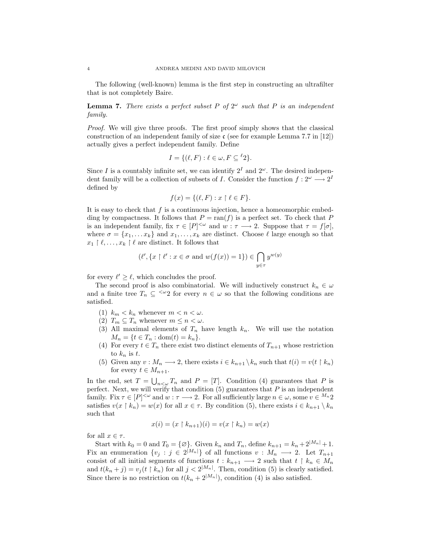The following (well-known) lemma is the first step in constructing an ultrafilter that is not completely Baire.

**Lemma 7.** There exists a perfect subset P of  $2^{\omega}$  such that P is an independent family.

Proof. We will give three proofs. The first proof simply shows that the classical construction of an independent family of size  $\mathfrak{c}$  (see for example Lemma 7.7 in [12]) actually gives a perfect independent family. Define

$$
I = \{ (\ell, F) : \ell \in \omega, F \subseteq {}^{\ell}2 \}.
$$

Since I is a countably infinite set, we can identify  $2<sup>I</sup>$  and  $2<sup>\omega</sup>$ . The desired independent family will be a collection of subsets of I. Consider the function  $f: 2^{\omega} \longrightarrow 2^I$ defined by

$$
f(x) = \{ (\ell, F) : x \restriction \ell \in F \}.
$$

It is easy to check that  $f$  is a continuous injection, hence a homeomorphic embedding by compactness. It follows that  $P = \text{ran}(f)$  is a perfect set. To check that P is an independent family, fix  $\tau \in [P]^{<\omega}$  and  $w : \tau \longrightarrow 2$ . Suppose that  $\tau = f[\sigma]$ , where  $\sigma = \{x_1, \ldots x_k\}$  and  $x_1, \ldots, x_k$  are distinct. Choose  $\ell$  large enough so that  $x_1 \upharpoonright \ell, \ldots, x_k \upharpoonright \ell$  are distinct. It follows that

$$
(\ell', \{x \restriction \ell' : x \in \sigma \text{ and } w(f(x)) = 1\}) \in \bigcap_{y \in \tau} y^{w(y)}
$$

for every  $\ell' \geq \ell$ , which concludes the proof.

The second proof is also combinatorial. We will inductively construct  $k_n \in \omega$ and a finite tree  $T_n \subseteq \langle \omega_2 \rangle$  for every  $n \in \omega$  so that the following conditions are satisfied.

- (1)  $k_m < k_n$  whenever  $m < n < \omega$ .
- (2)  $T_m \subseteq T_n$  whenever  $m \leq n < \omega$ .
- (3) All maximal elements of  $T_n$  have length  $k_n$ . We will use the notation  $M_n = \{t \in T_n : \text{dom}(t) = k_n\}.$
- (4) For every  $t \in T_n$  there exist two distinct elements of  $T_{n+1}$  whose restriction to  $k_n$  is t.
- (5) Given any  $v : M_n \longrightarrow 2$ , there exists  $i \in k_{n+1} \backslash k_n$  such that  $t(i) = v(t \upharpoonright k_n)$ for every  $t \in M_{n+1}$ .

In the end, set  $T = \bigcup_{n<\omega} T_n$  and  $P = [T]$ . Condition (4) guarantees that P is perfect. Next, we will verify that condition  $(5)$  guarantees that  $P$  is an independent family. Fix  $\tau \in [P]^{<\omega}$  and  $w: \tau \longrightarrow 2$ . For all sufficiently large  $n \in \omega$ , some  $v \in {}^{M_n}2$ satisfies  $v(x \restriction k_n) = w(x)$  for all  $x \in \tau$ . By condition (5), there exists  $i \in k_{n+1} \setminus k_n$ such that

$$
x(i) = (x \upharpoonright k_{n+1})(i) = v(x \upharpoonright k_n) = w(x)
$$

for all  $x \in \tau$ .

Start with  $k_0 = 0$  and  $T_0 = \{ \emptyset \}$ . Given  $k_n$  and  $T_n$ , define  $k_{n+1} = k_n + 2^{|M_n|} + 1$ . Fix an enumeration  $\{v_j : j \in 2^{|M_n|}\}\$  of all functions  $v : M_n \longrightarrow 2$ . Let  $T_{n+1}$ consist of all initial segments of functions  $t : k_{n+1} \longrightarrow 2$  such that  $t \restriction k_n \in M_n$ and  $t(k_n + j) = v_j(t \mid k_n)$  for all  $j < 2^{|M_n|}$ . Then, condition (5) is clearly satisfied. Since there is no restriction on  $t(k_n + 2^{|M_n|})$ , condition (4) is also satisfied.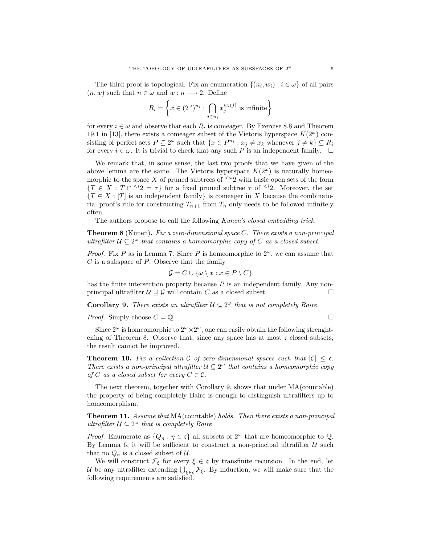The third proof is topological. Fix an enumeration  $\{(n_i, w_i) : i \in \omega\}$  of all pairs  $(n, w)$  such that  $n \in \omega$  and  $w : n \longrightarrow 2$ . Define

$$
R_i = \left\{ x \in (2^{\omega})^{n_i} : \bigcap_{j \in n_i} x_j^{w_i(j)} \text{ is infinite} \right\}
$$

for every  $i \in \omega$  and observe that each  $R_i$  is comeager. By Exercise 8.8 and Theorem 19.1 in [13], there exists a comeager subset of the Vietoris hyperspace  $K(2^{\omega})$  consisting of perfect sets  $P \subseteq 2^{\omega}$  such that  $\{x \in P^{n_i} : x_j \neq x_k \text{ whenever } j \neq k\} \subseteq R_i$ for every  $i \in \omega$ . It is trivial to check that any such P is an independent family.  $\Box$ 

We remark that, in some sense, the last two proofs that we have given of the above lemma are the same. The Vietoris hyperspace  $K(2^{\omega})$  is naturally homeomorphic to the space X of pruned subtrees of  $\leq \omega_2$  with basic open sets of the form  ${T \in X : T \cap^{i_2} = \tau}$  for a fixed pruned subtree  $\tau$  of  $\leq^{i_2}$ . Moreover, the set  ${T \in X : [T]$  is an independent family is comeager in X because the combinatorial proof's rule for constructing  $T_{n+1}$  from  $T_n$  only needs to be followed infinitely often.

The authors propose to call the following Kunen's closed embedding trick.

**Theorem 8** (Kunen). Fix a zero-dimensional space  $C$ . There exists a non-principal ultrafilter  $\mathcal{U} \subseteq 2^{\omega}$  that contains a homeomorphic copy of C as a closed subset.

*Proof.* Fix P as in Lemma 7. Since P is homeomorphic to  $2^{\omega}$ , we can assume that  $C$  is a subspace of  $P$ . Observe that the family

$$
\mathcal{G} = C \cup \{ \omega \setminus x : x \in P \setminus C \}
$$

has the finite intersection property because  $P$  is an independent family. Any nonprincipal ultrafilter  $U \supseteq G$  will contain C as a closed subset.

**Corollary 9.** There exists an ultrafilter  $\mathcal{U} \subseteq 2^{\omega}$  that is not completely Baire.

*Proof.* Simply choose  $C = \mathbb{Q}$ .

Since  $2^{\omega}$  is homeomorphic to  $2^{\omega} \times 2^{\omega}$ , one can easily obtain the following strenghtening of Theorem 8. Observe that, since any space has at most  $\mathfrak c$  closed subsets, the result cannot be improved.

**Theorem 10.** Fix a collection C of zero-dimensional spaces such that  $|C| \leq c$ . There exists a non-principal ultrafilter  $\mathcal{U} \subseteq 2^{\omega}$  that contains a homeomorphic copy of C as a closed subset for every  $C \in \mathcal{C}$ .

The next theorem, together with Corollary 9, shows that under MA(countable) the property of being completely Baire is enough to distinguish ultrafilters up to homeomorphism.

Theorem 11. Assume that MA(countable) holds. Then there exists a non-principal ultrafilter  $\mathcal{U} \subseteq 2^{\omega}$  that is completely Baire.

*Proof.* Enumerate as  $\{Q_n : \eta \in \mathfrak{c}\}\$ all subsets of  $2^\omega$  that are homeomorphic to  $\mathbb{Q}\$ . By Lemma 6, it will be sufficient to construct a non-principal ultrafilter  $U$  such that no  $Q_n$  is a closed subset of  $\mathcal U$ .

We will construct  $\mathcal{F}_{\xi}$  for every  $\xi \in \mathfrak{c}$  by transfinite recursion. In the end, let U be any ultrafilter extending  $\bigcup_{\xi \in \mathfrak{c}} \mathcal{F}_{\xi}$ . By induction, we will make sure that the following requirements are satisfied.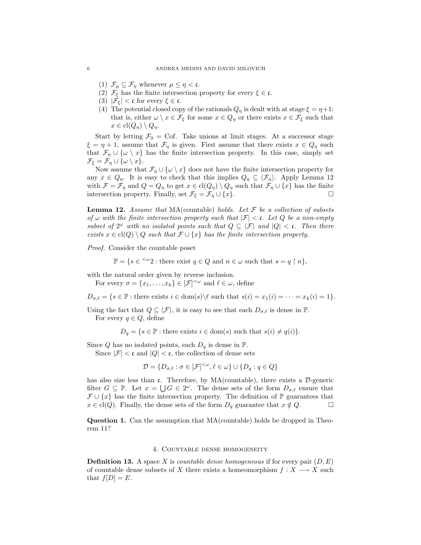- (1)  $\mathcal{F}_{\mu} \subseteq \mathcal{F}_{\eta}$  whenever  $\mu \leq \eta < \mathfrak{c}$ .
- (2)  $\mathcal{F}_{\xi}$  has the finite intersection property for every  $\xi \in \mathfrak{c}$ .
- (3)  $|\mathcal{F}_{\xi}| < \mathfrak{c}$  for every  $\xi \in \mathfrak{c}$ .
- (4) The potential closed copy of the rationals  $Q_{\eta}$  is dealt with at stage  $\xi = \eta + 1$ : that is, either  $\omega \setminus x \in \mathcal{F}_{\xi}$  for some  $x \in Q_{\eta}$  or there exists  $x \in \mathcal{F}_{\xi}$  such that  $x \in \text{cl}(Q_{\eta}) \setminus Q_{\eta}.$

Start by letting  $\mathcal{F}_0 = \text{Cof}$ . Take unions at limit stages. At a successor stage  $\xi = \eta + 1$ , assume that  $\mathcal{F}_{\eta}$  is given. First assume that there exists  $x \in Q_{\eta}$  such that  $\mathcal{F}_{\eta} \cup \{\omega \setminus x\}$  has the finite intersection property. In this case, simply set  $\mathcal{F}_{\xi} = \mathcal{F}_{\eta} \cup \{\omega \setminus x\}.$ 

Now assume that  $\mathcal{F}_{\eta} \cup \{\omega \setminus x\}$  does not have the finite intersection property for any  $x \in Q_\eta$ . It is easy to check that this implies  $Q_\eta \subseteq \langle \mathcal{F}_\eta \rangle$ . Apply Lemma 12 with  $\mathcal{F} = \mathcal{F}_{\eta}$  and  $Q = Q_{\eta}$  to get  $x \in \text{cl}(Q_{\eta}) \setminus Q_{\eta}$  such that  $\mathcal{F}_{\eta} \cup \{x\}$  has the finite intersection property. Finally, set  $\mathcal{F}_{\xi} = \mathcal{F}_{\eta} \cup \{x\}.$ 

**Lemma 12.** Assume that MA(countable) holds. Let  $\mathcal F$  be a collection of subsets of  $\omega$  with the finite intersection property such that  $|\mathcal{F}| < \mathfrak{c}$ . Let Q be a non-empty subset of  $2^{\omega}$  with no isolated points such that  $Q \subseteq \langle \mathcal{F} \rangle$  and  $|Q| < \mathfrak{c}$ . Then there exists  $x \in \text{cl}(Q) \setminus Q$  such that  $\mathcal{F} \cup \{x\}$  has the finite intersection property.

Proof. Consider the countable poset

 $\mathbb{P} = \{s \in \frac{<\omega}{2} : \text{there exist } q \in Q \text{ and } n \in \omega \text{ such that } s = q \restriction n \},\$ 

with the natural order given by reverse inclusion.

For every  $\sigma = \{x_1, \ldots, x_k\} \in [\mathcal{F}]^{<\omega}$  and  $\ell \in \omega$ , define

 $D_{\sigma,\ell} = \{s \in \mathbb{P} : \text{there exists } i \in \text{dom}(s) \setminus \ell \text{ such that } s(i) = x_1(i) = \cdots = x_k(i) = 1\}.$ 

Using the fact that  $Q \subseteq \langle \mathcal{F} \rangle$ , it is easy to see that each  $D_{\sigma,\ell}$  is dense in  $\mathbb{P}$ . For every  $q \in Q$ , define

 $D_q = \{s \in \mathbb{P} : \text{there exists } i \in \text{dom}(s) \text{ such that } s(i) \neq q(i)\}.$ 

Since Q has no isolated points, each  $D_q$  is dense in  $\mathbb{P}$ .

Since  $|\mathcal{F}| < \mathfrak{c}$  and  $|Q| < \mathfrak{c}$ , the collection of dense sets

$$
\mathcal{D} = \{D_{\sigma,\ell} : \sigma \in [\mathcal{F}]^{<\omega}, \ell \in \omega\} \cup \{D_q : q \in Q\}
$$

has also size less than c. Therefore, by  $MA$ (countable), there exists a  $\mathcal{D}$ -generic filter  $G \subseteq \mathbb{P}$ . Let  $x = \bigcup G \in 2^{\omega}$ . The dense sets of the form  $D_{\sigma,\ell}$  ensure that  $\mathcal{F} \cup \{x\}$  has the finite intersection property. The definition of  $\mathbb{P}$  guarantees that  $x \in \text{cl}(Q)$ . Finally, the dense sets of the form  $D_q$  guarantee that  $x \notin Q$ .  $\Box$ 

Question 1. Can the assumption that MA(countable) holds be dropped in Theorem 11?

## 4. Countable dense homogeneity

**Definition 13.** A space X is countable dense homogeneous if for every pair  $(D, E)$ of countable dense subsets of X there exists a homeomorphism  $f: X \longrightarrow X$  such that  $f[D] = E$ .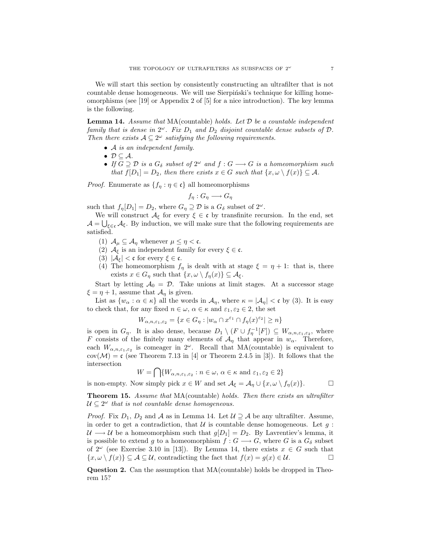We will start this section by consistently constructing an ultrafilter that is not countable dense homogeneous. We will use Sierpinski's technique for killing homeomorphisms (see [19] or Appendix 2 of [5] for a nice introduction). The key lemma is the following.

**Lemma 14.** Assume that  $MA$ (countable) holds. Let  $D$  be a countable independent family that is dense in  $2^{\omega}$ . Fix  $D_1$  and  $D_2$  disjoint countable dense subsets of  $D$ . Then there exists  $A \subseteq 2^{\omega}$  satisfying the following requirements.

- A is an independent family.
- $D \subseteq A$ .
- If  $G \supseteq \mathcal{D}$  is a  $G_{\delta}$  subset of  $2^{\omega}$  and  $f: G \longrightarrow G$  is a homeomorphism such that  $f[D_1] = D_2$ , then there exists  $x \in G$  such that  $\{x, \omega \setminus f(x)\} \subseteq A$ .

*Proof.* Enumerate as  $\{f_n : \eta \in \mathfrak{c}\}\$ all homeomorphisms

$$
f_{\eta}: G_{\eta} \longrightarrow G_{\eta}
$$

such that  $f_{\eta}[D_1] = D_2$ , where  $G_{\eta} \supseteq \mathcal{D}$  is a  $G_{\delta}$  subset of  $2^{\omega}$ .

We will construct  $\mathcal{A}_{\xi}$  for every  $\xi \in \mathfrak{c}$  by transfinite recursion. In the end, set  $\mathcal{A} = \bigcup_{\xi \in \mathfrak{c}} \mathcal{A}_{\xi}$ . By induction, we will make sure that the following requirements are satisfied.

- (1)  $\mathcal{A}_{\mu} \subseteq \mathcal{A}_{\eta}$  whenever  $\mu \leq \eta < \mathfrak{c}$ .
- (2)  $\mathcal{A}_{\xi}$  is an independent family for every  $\xi \in \mathfrak{c}$ .
- (3)  $|\mathcal{A}_{\xi}| < \mathfrak{c}$  for every  $\xi \in \mathfrak{c}$ .
- (4) The homeomorphism  $f_{\eta}$  is dealt with at stage  $\xi = \eta + 1$ : that is, there exists  $x \in G_\eta$  such that  $\{x, \omega \setminus f_\eta(x)\} \subseteq \mathcal{A}_{\xi}$ .

Start by letting  $A_0 = \mathcal{D}$ . Take unions at limit stages. At a successor stage  $\xi = \eta + 1$ , assume that  $\mathcal{A}_{\eta}$  is given.

List as  $\{w_\alpha : \alpha \in \kappa\}$  all the words in  $\mathcal{A}_\eta$ , where  $\kappa = |\mathcal{A}_\eta| < \mathfrak{c}$  by (3). It is easy to check that, for any fixed  $n \in \omega$ ,  $\alpha \in \kappa$  and  $\varepsilon_1, \varepsilon_2 \in 2$ , the set

$$
W_{\alpha, n, \varepsilon_1, \varepsilon_2} = \{ x \in G_\eta : |w_\alpha \cap x^{\varepsilon_1} \cap f_\eta(x)^{\varepsilon_2}| \geq n \}
$$

is open in  $G_{\eta}$ . It is also dense, because  $D_1 \setminus (F \cup f_{\eta}^{-1}[F]) \subseteq W_{\alpha,n,\varepsilon_1,\varepsilon_2}$ , where F consists of the finitely many elements of  $\mathcal{A}_{\eta}$  that appear in  $w_{\alpha}$ . Therefore, each  $W_{\alpha,n,\varepsilon_1,\varepsilon_2}$  is comeager in  $2^{\omega}$ . Recall that MA(countable) is equivalent to  $cov(\mathcal{M}) = c$  (see Theorem 7.13 in [4] or Theorem 2.4.5 in [3]). It follows that the intersection

$$
W = \bigcap \{W_{\alpha, n, \varepsilon_1, \varepsilon_2} : n \in \omega, \alpha \in \kappa \text{ and } \varepsilon_1, \varepsilon_2 \in 2\}
$$

is non-empty. Now simply pick  $x \in W$  and set  $\mathcal{A}_{\xi} = \mathcal{A}_{\eta} \cup \{x, \omega \setminus f_{\eta}(x)\}.$ 

**Theorem 15.** Assume that MA(countable) holds. Then there exists an ultrafilter  $\mathcal{U} \subseteq 2^{\omega}$  that is not countable dense homogeneous.

*Proof.* Fix  $D_1$ ,  $D_2$  and A as in Lemma 14. Let  $\mathcal{U} \supseteq \mathcal{A}$  be any ultrafilter. Assume, in order to get a contradiction, that  $\mathcal U$  is countable dense homogeneous. Let q:  $U \longrightarrow U$  be a homeomorphism such that  $g[D_1] = D_2$ . By Lavrentiev's lemma, it is possible to extend g to a homeomorphism  $f : G \longrightarrow G$ , where G is a  $G_{\delta}$  subset of  $2^{\omega}$  (see Exercise 3.10 in [13]). By Lemma 14, there exists  $x \in G$  such that  $\{x, \omega \setminus f(x)\} \subseteq \mathcal{A} \subseteq \mathcal{U}$ , contradicting the fact that  $f(x) = g(x) \in \mathcal{U}$ .

Question 2. Can the assumption that MA(countable) holds be dropped in Theorem 15?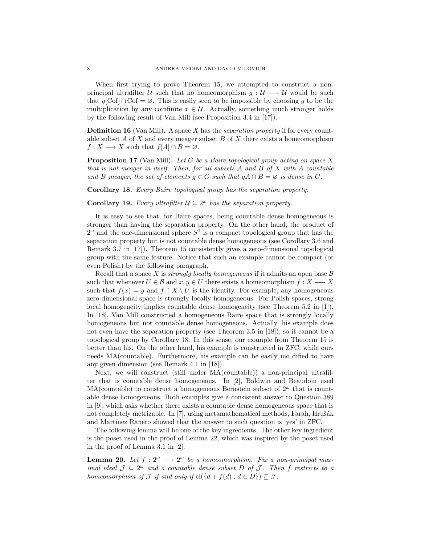When first trying to prove Theorem 15, we attempted to construct a nonprincipal ultrafilter U such that no homeomorphism  $q : U \longrightarrow U$  would be such that  $g[\text{Cof}] \cap \text{Cof} = \emptyset$ . This is easily seen to be impossible by choosing g to be the multiplication by any coinfinite  $x \in \mathcal{U}$ . Actually, something much stronger holds by the following result of Van Mill (see Proposition 3.4 in [17]).

**Definition 16** (Van Mill). A space X has the *separation property* if for every countable subset  $A$  of  $X$  and every meager subset  $B$  of  $X$  there exists a homeomorphism  $f: X \longrightarrow X$  such that  $f[A] \cap B = \emptyset$ .

**Proposition 17** (Van Mill). Let G be a Baire topological group acting on space X that is not meager in itself. Then, for all subsets A and B of X with A countable and B meager, the set of elements  $g \in G$  such that  $gA \cap B = \emptyset$  is dense in G.

Corollary 18. Every Baire topological group has the separation property.

**Corollary 19.** Every ultrafilter  $\mathcal{U} \subseteq 2^{\omega}$  has the separation property.

It is easy to see that, for Baire spaces, being countable dense homogeneous is stronger than having the separation property. On the other hand, the product of  $2^{\omega}$  and the one-dimensional sphere  $S^1$  is a compact topological group that has the separation property but is not countable dense homogeneous (see Corollary 3.6 and Remark 3.7 in [17]). Theorem 15 consistently gives a zero-dimensional topological group with the same feature. Notice that such an example cannot be compact (or even Polish) by the following paragraph.

Recall that a space X is *strongly locally homogeneous* if it admits an open base  $\beta$ such that whenever  $U \in \mathcal{B}$  and  $x, y \in U$  there exists a homeomorphism  $f: X \longrightarrow X$ such that  $f(x) = y$  and  $f \restriction X \setminus U$  is the identity. For example, any homogeneous zero-dimensional space is strongly locally homogeneous. For Polish spaces, strong local homogeneity implies countable dense homogeneity (see Theorem 5.2 in [1]). In [18], Van Mill constructed a homogeneous Baire space that is strongly locally homogeneous but not countable dense homogeneous. Actually, his example does not even have the separation property (see Theorem 3.5 in [18]), so it cannot be a topological group by Corollary 18. In this sense, our example from Theorem 15 is better than his. On the other hand, his example is constructed in ZFC, while ours needs MA(countable). Furthermore, his example can be easily mo dified to have any given dimension (see Remark 4.1 in [18]).

Next, we will construct (still under MA(countable)) a non-principal ultrafilter that is countable dense homogeneous. In [2], Baldwin and Beaudoin used MA(countable) to construct a homogeneous Bernstein subset of  $2^{\omega}$  that is countable dense homogeneous. Both examples give a consistent answer to Question 389 in [9], which asks whether there exists a countable dense homogeneous space that is not completely metrizable. In [7], using metamathematical methods, Farah, Hrušák and Martínez Ranero showed that the answer to such question is 'yes' in ZFC.

The following lemma will be one of the key ingredients. The other key ingredient is the poset used in the proof of Lemma 22, which was inspired by the poset used in the proof of Lemma 3.1 in [2].

**Lemma 20.** Let  $f: 2^{\omega} \longrightarrow 2^{\omega}$  be a homeomorphism. Fix a non-principal maximal ideal  $\mathcal{J} \subseteq 2^{\omega}$  and a countable dense subset D of J. Then f restricts to a homeomorphism of  $\mathcal J$  if and only if  $cl({d + f(d) : d \in D}) \subseteq \mathcal J$ .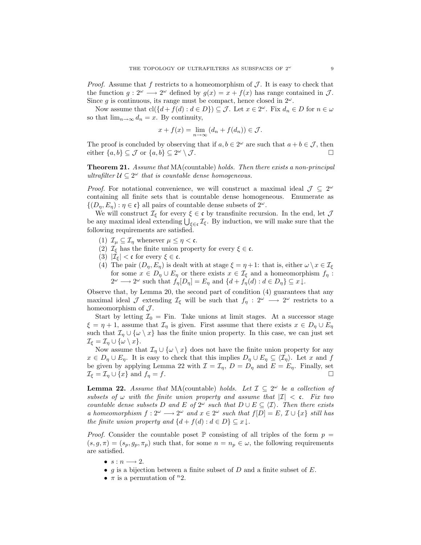*Proof.* Assume that f restricts to a homeomorphism of  $J$ . It is easy to check that the function  $g: 2^{\omega} \longrightarrow 2^{\omega}$  defined by  $g(x) = x + f(x)$  has range contained in  $\mathcal{J}$ . Since g is continuous, its range must be compact, hence closed in  $2^{\omega}$ .

Now assume that  $\text{cl}(\{d + f(d) : d \in D\}) \subseteq \mathcal{J}$ . Let  $x \in 2^\omega$ . Fix  $d_n \in D$  for  $n \in \omega$ so that  $\lim_{n\to\infty} d_n = x$ . By continuity,

$$
x + f(x) = \lim_{n \to \infty} (d_n + f(d_n)) \in \mathcal{J}.
$$

The proof is concluded by observing that if  $a, b \in 2^{\omega}$  are such that  $a + b \in \mathcal{J}$ , then either  $\{a, b\} \subset \mathcal{J}$  or  $\{a, b\} \subset 2^{\omega} \setminus \mathcal{J}$ .  $\omega \setminus \overline{\mathcal{J}}$ .

**Theorem 21.** Assume that MA(countable) holds. Then there exists a non-principal ultrafilter  $\mathcal{U} \subseteq 2^{\omega}$  that is countable dense homogeneous.

*Proof.* For notational convenience, we will construct a maximal ideal  $\mathcal{J} \subseteq 2^{\omega}$ containing all finite sets that is countable dense homogeneous. Enumerate as  $\{(D_n, E_n) : \eta \in \mathfrak{c}\}\$ all pairs of countable dense subsets of  $2^\omega$ .

We will construct  $\mathcal{I}_{\xi}$  for every  $\xi \in \mathfrak{c}$  by transfinite recursion. In the end, let  $\mathcal{J}$ be any maximal ideal extending  $\bigcup_{\xi \in \mathfrak{c}} \mathcal{I}_{\xi}$ . By induction, we will make sure that the following requirements are satisfied.

- (1)  $\mathcal{I}_{\mu} \subseteq \mathcal{I}_{\eta}$  whenever  $\mu \leq \eta < \mathfrak{c}$ .
- (2)  $\mathcal{I}_{\xi}$  has the finite union property for every  $\xi \in \mathfrak{c}$ .
- (3)  $|\mathcal{I}_{\xi}| < \mathfrak{c}$  for every  $\xi \in \mathfrak{c}$ .
- (4) The pair  $(D_n, E_n)$  is dealt with at stage  $\xi = \eta + 1$ : that is, either  $\omega \setminus x \in \mathcal{I}_{\xi}$ for some  $x \in D_n \cup E_n$  or there exists  $x \in \mathcal{I}_{\xi}$  and a homeomorphism  $f_n$ :  $2^{\omega} \longrightarrow 2^{\omega}$  such that  $f_{\eta}[D_{\eta}] = E_{\eta}$  and  $\{d + f_{\eta}(d) : d \in D_{\eta}\} \subseteq x \downarrow$ .

Observe that, by Lemma 20, the second part of condition (4) guarantees that any maximal ideal J extending  $\mathcal{I}_{\xi}$  will be such that  $f_{\eta}: 2^{\omega} \longrightarrow 2^{\omega}$  restricts to a homeomorphism of  $\mathcal{J}$ .

Start by letting  $\mathcal{I}_0 =$  Fin. Take unions at limit stages. At a successor stage  $\xi = \eta + 1$ , assume that  $\mathcal{I}_{\eta}$  is given. First assume that there exists  $x \in D_{\eta} \cup E_{\eta}$ such that  $\mathcal{I}_\eta \cup \{\omega \setminus x\}$  has the finite union property. In this case, we can just set  $\mathcal{I}_\xi = \mathcal{I}_\eta \cup \{ \omega \setminus x \}.$ 

Now assume that  $\mathcal{I}_n \cup {\omega \setminus x}$  does not have the finite union property for any  $x \in D_{\eta} \cup E_{\eta}$ . It is easy to check that this implies  $D_{\eta} \cup E_{\eta} \subseteq \langle \mathcal{I}_{\eta} \rangle$ . Let x and f be given by applying Lemma 22 with  $\mathcal{I} = \mathcal{I}_{\eta}, D = D_{\eta}$  and  $E = E_{\eta}$ . Finally, set  $\mathcal{I}_{\xi} = \mathcal{I}_{\eta} \cup \{x\}$  and  $f_{\eta} = f$ .

**Lemma 22.** Assume that MA(countable) holds. Let  $\mathcal{I} \subseteq 2^{\omega}$  be a collection of subsets of  $\omega$  with the finite union property and assume that  $|I| < c$ . Fix two countable dense subsets D and E of  $2^{\omega}$  such that  $D \cup E \subseteq \langle \mathcal{I} \rangle$ . Then there exists a homeomorphism  $f: 2^{\omega} \longrightarrow 2^{\omega}$  and  $x \in 2^{\omega}$  such that  $f[D] = E$ ,  $\mathcal{I} \cup \{x\}$  still has the finite union property and  $\{d + f(d) : d \in D\} \subseteq x \downarrow$ .

*Proof.* Consider the countable poset  $\mathbb P$  consisting of all triples of the form  $p =$  $(s, g, \pi) = (s_p, g_p, \pi_p)$  such that, for some  $n = n_p \in \omega$ , the following requirements are satisfied.

- $s : n \longrightarrow 2$ .
- g is a bijection between a finite subset of  $D$  and a finite subset of  $E$ .
- $\pi$  is a permutation of  $n_2$ .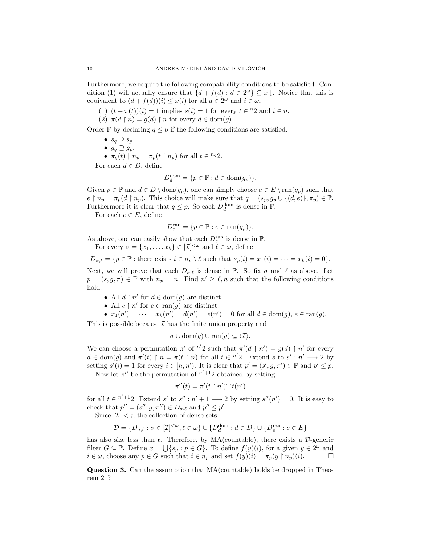Furthermore, we require the following compatibility conditions to be satisfied. Condition (1) will actually ensure that  $\{d + f(d) : d \in 2^{\omega}\}\subseteq x \downarrow$ . Notice that this is equivalent to  $(d + f(d))(i) \leq x(i)$  for all  $d \in 2^{\omega}$  and  $i \in \omega$ .

- (1)  $(t + \pi(t))(i) = 1$  implies  $s(i) = 1$  for every  $t \in \{n\}$  and  $i \in n$ .
- (2)  $\pi(d \upharpoonright n) = q(d) \upharpoonright n$  for every  $d \in \text{dom}(q)$ .

Order P by declaring  $q \leq p$  if the following conditions are satisfied.

- $s_q \supseteq s_p$ .
- $g_q \supseteq g_p$ .
- $\pi_q(t)$  |  $n_p = \pi_p(t \mid n_p)$  for all  $t \in {}^{n_q}2$ .

For each  $d \in D$ , define

$$
D_d^{\text{dom}} = \{ p \in \mathbb{P} : d \in \text{dom}(g_p) \}.
$$

Given  $p \in \mathbb{P}$  and  $d \in D \setminus \text{dom}(g_p)$ , one can simply choose  $e \in E \setminus \text{ran}(g_p)$  such that  $e \restriction n_p = \pi_p(d \restriction n_p)$ . This choice will make sure that  $q = (s_p, g_p \cup \{(d, e)\}, \pi_p) \in \mathbb{P}$ . Furthermore it is clear that  $q \leq p$ . So each  $D_d^{\text{dom}}$  is dense in  $\mathbb{P}$ .

For each  $e \in E$ , define

$$
D_e^{\text{ran}} = \{ p \in \mathbb{P} : e \in \text{ran}(g_p) \}.
$$

As above, one can easily show that each  $D_e^{\text{ran}}$  is dense in  $\mathbb P$ .

For every 
$$
\sigma = \{x_1, \ldots, x_k\} \in [\mathcal{I}]^{\langle \omega \rangle}
$$
 and  $\ell \in \omega$ , define

$$
D_{\sigma,\ell} = \{ p \in \mathbb{P} : \text{there exists } i \in n_p \setminus \ell \text{ such that } s_p(i) = x_1(i) = \cdots = x_k(i) = 0 \}.
$$

Next, we will prove that each  $D_{\sigma,\ell}$  is dense in P. So fix  $\sigma$  and  $\ell$  as above. Let  $p = (s, g, \pi) \in \mathbb{P}$  with  $n_p = n$ . Find  $n' \geq \ell, n$  such that the following conditions hold.

- All  $d \restriction n'$  for  $d \in \text{dom}(g)$  are distinct.
- All  $e \restriction n'$  for  $e \in \text{ran}(g)$  are distinct.
- $x_1(n') = \cdots = x_k(n') = d(n') = e(n') = 0$  for all  $d \in \text{dom}(g), e \in \text{ran}(g)$ .

This is possible because  $\mathcal I$  has the finite union property and

$$
\sigma \cup \text{dom}(g) \cup \text{ran}(g) \subseteq \langle \mathcal{I} \rangle.
$$

We can choose a permutation  $\pi'$  of  $n'2$  such that  $\pi'(d \restriction n') = g(d) \restriction n'$  for every  $d \in \text{dom}(g)$  and  $\pi'(t) \restriction n = \pi(t \restriction n)$  for all  $t \in \pi'2$ . Extend s to s':  $n' \longrightarrow 2$  by setting  $s'(i) = 1$  for every  $i \in [n, n')$ . It is clear that  $p' = (s', g, \pi') \in \mathbb{P}$  and  $p' \leq p$ .

Now let  $\pi''$  be the permutation of  $n'+12$  obtained by setting

$$
\pi''(t) = \pi'(t \upharpoonright n')^\frown t(n')
$$

for all  $t \in \infty^{n'+1}2$ . Extend s' to s'' :  $n' + 1 \longrightarrow 2$  by setting s''(n') = 0. It is easy to check that  $p'' = (s'', g, \pi'') \in D_{\sigma,\ell}$  and  $p'' \leq p'$ .

Since  $|\mathcal{I}| < \mathfrak{c}$ , the collection of dense sets

$$
\mathcal{D} = \{D_{\sigma,\ell} : \sigma \in [\mathcal{I}]^{<\omega}, \ell \in \omega\} \cup \{D_d^{\mathrm{dom}} : d \in D\} \cup \{D_e^{\mathrm{ran}} : e \in E\}
$$

has also size less than c. Therefore, by  $MA$ (countable), there exists a  $\mathcal{D}$ -generic filter  $G \subseteq \mathbb{P}$ . Define  $x = \bigcup \{s_p : p \in G\}$ . To define  $f(y)(i)$ , for a given  $y \in 2^{\omega}$  and  $i \in \omega$ , choose any  $p \in G$  such that  $i \in n_p$  and set  $f(y)(i) = \pi_p(y \restriction n_p)(i)$ .

Question 3. Can the assumption that MA(countable) holds be dropped in Theorem 21?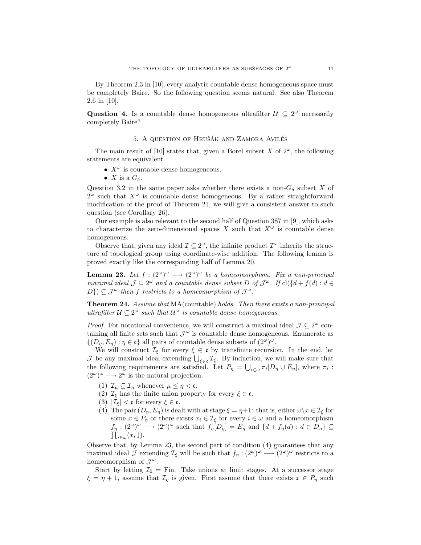By Theorem 2.3 in [10], every analytic countable dense homogeneous space must be completely Baire. So the following question seems natural. See also Theorem 2.6 in [10].

Question 4. Is a countable dense homogeneous ultrafilter  $\mathcal{U} \subseteq 2^{\omega}$  necessarily completely Baire?

### 5. A QUESTION OF HRUŠÁK AND ZAMORA AVILÉS

The main result of [10] states that, given a Borel subset X of  $2^{\omega}$ , the following statements are equivalent.

- $X^{\omega}$  is countable dense homogeneous.
- X is a  $G_{\delta}$ .

Question 3.2 in the same paper asks whether there exists a non- $G_{\delta}$  subset X of  $2^{\omega}$  such that  $X^{\omega}$  is countable dense homogeneous. By a rather straightforward modification of the proof of Theorem 21, we will give a consistent answer to such question (see Corollary 26).

Our example is also relevant to the second half of Question 387 in [9], which asks to characterize the zero-dimensional spaces X such that  $X^{\omega}$  is countable dense homogeneous.

Observe that, given any ideal  $\mathcal{I} \subseteq 2^{\omega}$ , the infinite product  $\mathcal{I}^{\omega}$  inherits the structure of topological group using coordinate-wise addition. The following lemma is proved exactly like the corresponding half of Lemma 20.

**Lemma 23.** Let  $f : (2^{\omega})^{\omega} \longrightarrow (2^{\omega})^{\omega}$  be a homeomorphism. Fix a non-principal maximal ideal  $\mathcal{J} \subseteq 2^{\omega}$  and a countable dense subset D of  $\mathcal{J}^{\omega}$ . If  $\text{cl}(\{d + f(d) : d \in$  $D\}) \subseteq \mathcal{J}^{\omega}$  then f restricts to a homeomorphism of  $\mathcal{J}^{\omega}$ .

Theorem 24. Assume that MA(countable) holds. Then there exists a non-principal ultrafilter  $\mathcal{U} \subseteq 2^{\omega}$  such that  $\mathcal{U}^{\omega}$  is countable dense homogeneous.

*Proof.* For notational convenience, we will construct a maximal ideal  $\mathcal{J} \subseteq 2^{\omega}$  containing all finite sets such that  $\mathcal{J}^{\omega}$  is countable dense homogeneous. Enumerate as  $\{(D_{\eta}, E_{\eta}) : \eta \in \mathfrak{c}\}\$ all pairs of countable dense subsets of  $(2^{\omega})^{\omega}$ .

We will construct  $\mathcal{I}_{\xi}$  for every  $\xi \in \mathfrak{c}$  by transfinite recursion. In the end, let J be any maximal ideal extending  $\bigcup_{\xi \in \mathfrak{c}} \mathcal{I}_{\xi}$ . By induction, we will make sure that the following requirements are satisfied. Let  $P_{\eta} = \bigcup_{i \in \omega} \pi_i [D_{\eta} \cup E_{\eta}],$  where  $\pi_i$ :  $(2^{\omega})^{\omega} \longrightarrow 2^{\omega}$  is the natural projection.

- (1)  $\mathcal{I}_{\mu} \subseteq \mathcal{I}_{\eta}$  whenever  $\mu \leq \eta < \mathfrak{c}$ .
- (2)  $\mathcal{I}_{\xi}$  has the finite union property for every  $\xi \in \mathfrak{c}$ .
- (3)  $|\mathcal{I}_{\xi}| < \mathfrak{c}$  for every  $\xi \in \mathfrak{c}$ .
- (4) The pair  $(D_n, E_n)$  is dealt with at stage  $\xi = \eta + 1$ : that is, either  $\omega \setminus x \in \mathcal{I}_\xi$  for some  $x \in P_\eta$  or there exists  $x_i \in \mathcal{I}_\xi$  for every  $i \in \omega$  and a homeomorphism  $f_{\eta}: (2^{\omega})^{\omega} \longrightarrow (2^{\omega})^{\omega}$  such that  $f_{\eta}[D_{\eta}] = E_{\eta}$  and  $\{d + f_{\eta}(d) : d \in D_{\eta}\}\subseteq$  $\prod_{i\in\omega}(x_i\!\downarrow).$

Observe that, by Lemma 23, the second part of condition (4) guarantees that any maximal ideal  $\mathcal J$  extending  $\mathcal I_\xi$  will be such that  $f_\eta : (2^\omega)^\omega \longrightarrow (2^\omega)^\omega$  restricts to a homeomorphism of  $\mathcal{J}^{\omega}$ .

Start by letting  $\mathcal{I}_0 = \text{Fin}$ . Take unions at limit stages. At a successor stage  $\xi = \eta + 1$ , assume that  $\mathcal{I}_\eta$  is given. First assume that there exists  $x \in P_\eta$  such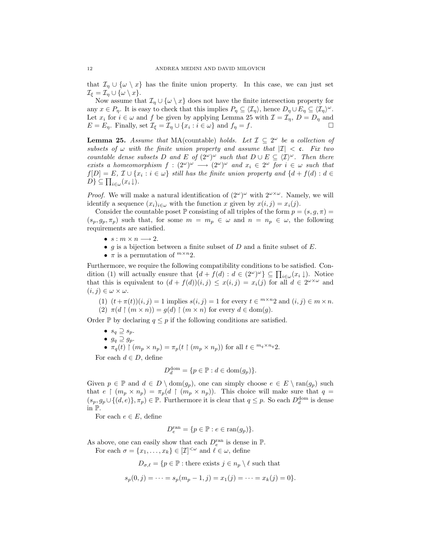that  $\mathcal{I}_\eta \cup \{\omega \setminus x\}$  has the finite union property. In this case, we can just set  $\mathcal{I}_{\xi} = \mathcal{I}_{\eta} \cup \{\omega \setminus x\}.$ 

Now assume that  $\mathcal{I}_\eta \cup \{\omega \setminus x\}$  does not have the finite intersection property for any  $x \in P_\eta$ . It is easy to check that this implies  $P_\eta \subseteq \langle \mathcal{I}_\eta \rangle$ , hence  $D_\eta \cup E_\eta \subseteq \langle \mathcal{I}_\eta \rangle^\omega$ . Let  $x_i$  for  $i \in \omega$  and f be given by applying Lemma 25 with  $\mathcal{I} = \mathcal{I}_{\eta}, D = D_{\eta}$  and  $E = E_{\eta}$ . Finally, set  $\mathcal{I}_{\xi} = \mathcal{I}_{\eta} \cup \{x_i : i \in \omega\}$  and  $f_{\eta} = f$ .

**Lemma 25.** Assume that MA(countable) holds. Let  $\mathcal{I} \subseteq 2^{\omega}$  be a collection of subsets of  $\omega$  with the finite union property and assume that  $|I| < \mathfrak{c}$ . Fix two countable dense subsets D and E of  $(2^{\omega})^{\omega}$  such that  $D \cup E \subseteq \langle \mathcal{I} \rangle^{\omega}$ . Then there exists a homeomorphism  $f : (2^{\omega})^{\omega} \longrightarrow (2^{\omega})^{\omega}$  and  $x_i \in 2^{\omega}$  for  $i \in \omega$  such that  $f[D] = E, \mathcal{I} \cup \{x_i : i \in \omega\}$  still has the finite union property and  $\{d + f(d) : d \in$  $D\} \subseteq \prod_{i\in\omega}(x_i\downarrow).$ 

*Proof.* We will make a natural identification of  $(2^{\omega})^{\omega}$  with  $2^{\omega \times \omega}$ . Namely, we will identify a sequence  $(x_i)_{i\in\omega}$  with the function x given by  $x(i, j) = x_i(j)$ .

Consider the countable poset  $\mathbb P$  consisting of all triples of the form  $p = (s, g, \pi)$  $(s_p, g_p, \pi_p)$  such that, for some  $m = m_p \in \omega$  and  $n = n_p \in \omega$ , the following requirements are satisfied.

- $s : m \times n \longrightarrow 2$ .
- g is a bijection between a finite subset of  $D$  and a finite subset of  $E$ .
- $\pi$  is a permutation of  $^{m \times n}2$ .

Furthermore, we require the following compatibility conditions to be satisfied. Condition (1) will actually ensure that  $\{d + f(d) : d \in (2^{\omega})^{\omega}\}\subseteq \prod_{i \in \omega}(x_i \downarrow)$ . Notice that this is equivalent to  $(d + f(d))(i, j) \leq x(i, j) = x_i(j)$  for all  $d \in 2^{\omega \times \omega}$  and  $(i, j) \in \omega \times \omega$ .

(1)  $(t + \pi(t))(i, j) = 1$  implies  $s(i, j) = 1$  for every  $t \in \infty$  and  $(i, j) \in m \times n$ . (2)  $\pi(d \restriction (m \times n)) = g(d) \restriction (m \times n)$  for every  $d \in \text{dom}(g)$ .

Order P by declaring  $q \leq p$  if the following conditions are satisfied.

- $s_q \supseteq s_p$ .
- $g_q \supseteq g_p$ .

• 
$$
\pi_q(t) \upharpoonright (m_p \times n_p) = \pi_p(t \upharpoonright (m_p \times n_p))
$$
 for all  $t \in {}^{m_q \times n_q}2$ .

For each  $d \in D$ , define

$$
D_d^{\text{dom}} = \{ p \in \mathbb{P} : d \in \text{dom}(g_p) \}.
$$

Given  $p \in \mathbb{P}$  and  $d \in D \setminus \text{dom}(g_p)$ , one can simply choose  $e \in E \setminus \text{ran}(g_p)$  such that  $e \restriction (m_p \times n_p) = \pi_p(d \restriction (m_p \times n_p)).$  This choice will make sure that  $q =$  $(s_p, g_p \cup \{(d, e)\}, \pi_p) \in \mathbb{P}$ . Furthermore it is clear that  $q \leq p$ . So each  $D_d^{\text{dom}}$  is dense in P.

For each  $e \in E$ , define

$$
D_e^{\text{ran}} = \{ p \in \mathbb{P} : e \in \text{ran}(g_p) \}.
$$

As above, one can easily show that each  $D_e^{\text{ran}}$  is dense in  $\mathbb P$ .

For each  $\sigma = \{x_1, \ldots, x_k\} \in [\mathcal{I}]^{\langle \omega \rangle}$  and  $\ell \in \omega$ , define

 $D_{\sigma,\ell} = \{p \in \mathbb{P} : \text{there exists } j \in n_p \setminus \ell \text{ such that }\}$ 

$$
s_p(0,j) = \dots = s_p(m_p - 1, j) = x_1(j) = \dots = x_k(j) = 0.
$$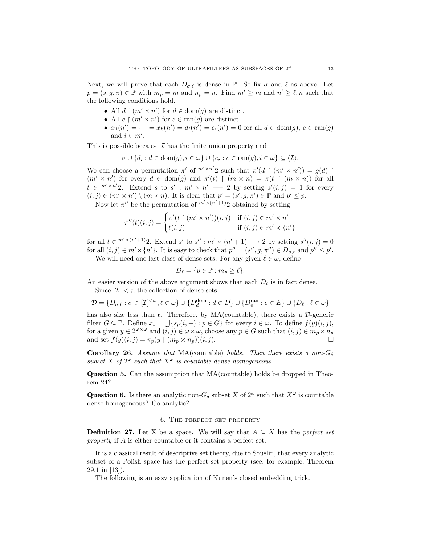Next, we will prove that each  $D_{\sigma,\ell}$  is dense in P. So fix  $\sigma$  and  $\ell$  as above. Let  $p = (s, g, \pi) \in \mathbb{P}$  with  $m_p = m$  and  $n_p = n$ . Find  $m' \geq m$  and  $n' \geq \ell, n$  such that the following conditions hold.

- All  $d \restriction (m' \times n')$  for  $d \in \text{dom}(g)$  are distinct.
- All  $e \restriction (m' \times n')$  for  $e \in \text{ran}(g)$  are distinct.
- $x_1(n') = \cdots = x_k(n') = d_i(n') = e_i(n') = 0$  for all  $d \in \text{dom}(g), e \in \text{ran}(g)$ and  $i \in m'$ .

This is possible because  $\mathcal I$  has the finite union property and

$$
\sigma \cup \{d_i : d \in \text{dom}(g), i \in \omega\} \cup \{e_i : e \in \text{ran}(g), i \in \omega\} \subseteq \langle \mathcal{I} \rangle.
$$

We can choose a permutation  $\pi'$  of  $^{m' \times n'}$  such that  $\pi'(d \restriction (m' \times n')) = g(d)$  $(m' \times n')$  for every  $d \in \text{dom}(g)$  and  $\pi'(t) \upharpoonright (m \times n) = \pi(t \upharpoonright (m \times n))$  for all  $t \in {}^{m' \times n'}2$ . Extend s to s':  $m' \times n' \longrightarrow 2$  by setting  $s'(i, j) = 1$  for every  $(i, j) \in (m' \times n') \setminus (m \times n)$ . It is clear that  $p' = (s', g, \pi') \in \mathbb{P}$  and  $p' \leq p$ .

Now let  $\pi''$  be the permutation of  $^{m' \times (n'+1)}2$  obtained by setting

$$
\pi''(t)(i,j) = \begin{cases} \pi'(t \restriction (m' \times n'))(i,j) & \text{if } (i,j) \in m' \times n' \\ t(i,j) & \text{if } (i,j) \in m' \times \{n'\} \end{cases}
$$

for all  $t \in C^{m' \times (n'+1)}2$ . Extend s' to s'' :  $m' \times (n'+1) \longrightarrow 2$  by setting  $s''(i, j) = 0$ for all  $(i, j) \in m' \times \{n'\}$ . It is easy to check that  $p'' = (s'', g, \pi'') \in D_{\sigma,\ell}$  and  $p'' \leq p'$ . We will need one last class of dense sets. For any given  $\ell \in \omega$ , define

$$
D_{\ell} = \{ p \in \mathbb{P} : m_p \ge \ell \}.
$$

An easier version of the above argument shows that each  $D_{\ell}$  is in fact dense.

Since  $|\mathcal{I}| < \mathfrak{c}$ , the collection of dense sets

$$
\mathcal{D} = \{D_{\sigma,\ell} : \sigma \in [\mathcal{I}]^{<\omega}, \ell \in \omega\} \cup \{D_d^{\text{dom}} : d \in D\} \cup \{D_e^{\text{ran}} : e \in E\} \cup \{D_\ell : \ell \in \omega\}
$$

has also size less than c. Therefore, by  $MA$ (countable), there exists a  $\mathcal{D}$ -generic filter  $G \subseteq \mathbb{P}$ . Define  $x_i = \bigcup \{s_p(i, -) : p \in G\}$  for every  $i \in \omega$ . To define  $f(y)(i, j)$ , for a given  $y \in 2^{\omega \times \omega}$  and  $(i, j) \in \omega \times \omega$ , choose any  $p \in G$  such that  $(i, j) \in m_p \times n_p$ and set  $f(y)(i, j) = \pi_p(y \restriction (m_p \times n_p))(i, j).$ 

Corollary 26. Assume that MA(countable) holds. Then there exists a non- $G_{\delta}$ subset X of  $2^{\omega}$  such that  $X^{\omega}$  is countable dense homogeneous.

Question 5. Can the assumption that MA(countable) holds be dropped in Theorem 24?

**Question 6.** Is there an analytic non- $G_{\delta}$  subset X of  $2^{\omega}$  such that  $X^{\omega}$  is countable dense homogeneous? Co-analytic?

### 6. The perfect set property

**Definition 27.** Let X be a space. We will say that  $A \subseteq X$  has the perfect set property if A is either countable or it contains a perfect set.

It is a classical result of descriptive set theory, due to Souslin, that every analytic subset of a Polish space has the perfect set property (see, for example, Theorem 29.1 in [13]).

The following is an easy application of Kunen's closed embedding trick.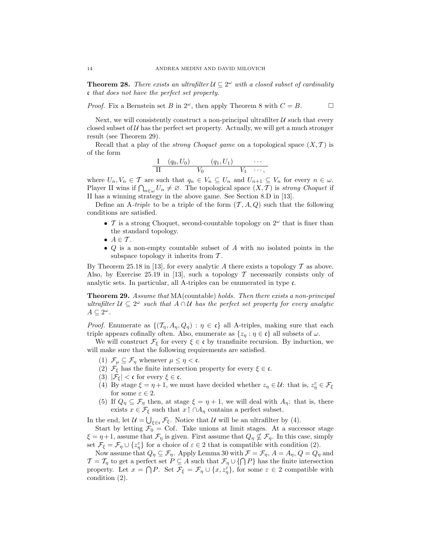**Theorem 28.** There exists an ultrafilter  $\mathcal{U} \subseteq 2^{\omega}$  with a closed subset of cardinality c that does not have the perfect set property.

*Proof.* Fix a Bernstein set B in  $2^{\omega}$ , then apply Theorem 8 with  $C = B$ .

Next, we will consistently construct a non-principal ultrafilter  $U$  such that every closed subset of  $U$  has the perfect set property. Actually, we will get a much stronger result (see Theorem 29).

Recall that a play of the *strong Choquet game* on a topological space  $(X, \mathcal{T})$  is of the form

$$
\frac{I}{II} \quad (q_0, U_0) \qquad (q_1, U_1) \qquad \cdots
$$
  

$$
\frac{II}{II} \qquad V_0 \qquad V_1 \qquad \cdots,
$$

where  $U_n, V_n \in \mathcal{T}$  are such that  $q_n \in V_n \subseteq U_n$  and  $U_{n+1} \subseteq V_n$  for every  $n \in \omega$ . Player II wins if  $\bigcap_{n\in\omega}U_n\neq\emptyset$ . The topological space  $(X,\mathcal{T})$  is strong Choquet if II has a winning strategy in the above game. See Section 8.D in [13].

Define an A-triple to be a triple of the form  $(\mathcal{T}, A, Q)$  such that the following conditions are satisfied.

- T is a strong Choquet, second-countable topology on  $2^{\omega}$  that is finer than the standard topology.
- $A \in \mathcal{T}$ .
- Q is a non-empty countable subset of A with no isolated points in the subspace topology it inherits from  $\mathcal{T}$ .

By Theorem 25.18 in [13], for every analytic A there exists a topology  $\mathcal T$  as above. Also, by Exercise 25.19 in [13], such a topology  $\mathcal T$  necessarily consists only of analytic sets. In particular, all A-triples can be enumerated in type c.

Theorem 29. Assume that MA(countable) holds. Then there exists a non-principal ultrafilter  $\mathcal{U} \subseteq 2^{\omega}$  such that  $A \cap \mathcal{U}$  has the perfect set property for every analytic  $A \subseteq 2^{\omega}$ .

*Proof.* Enumerate as  $\{(\mathcal{T}_\eta, A_\eta, Q_\eta) : \eta \in \mathfrak{c}\}\$ all A-triples, making sure that each triple appears cofinally often. Also, enumerate as  $\{z_\eta : \eta \in \mathfrak{c}\}\$ all subsets of  $\omega$ .

We will construct  $\mathcal{F}_{\xi}$  for every  $\xi \in \mathfrak{c}$  by transfinite recursion. By induction, we will make sure that the following requirements are satisfied.

- (1)  $\mathcal{F}_{\mu} \subseteq \mathcal{F}_{\eta}$  whenever  $\mu \leq \eta < \mathfrak{c}$ .
- (2)  $\mathcal{F}_{\xi}$  has the finite intersection property for every  $\xi \in \mathfrak{c}$ .
- (3)  $|\mathcal{F}_{\xi}| < \mathfrak{c}$  for every  $\xi \in \mathfrak{c}$ .
- (4) By stage  $\xi = \eta + 1$ , we must have decided whether  $z_{\eta} \in \mathcal{U}$ : that is,  $z_{\eta}^{\varepsilon} \in \mathcal{F}_{\xi}$ for some  $\varepsilon \in 2$ .
- (5) If  $Q_{\eta} \subseteq \mathcal{F}_{\eta}$  then, at stage  $\xi = \eta + 1$ , we will deal with  $A_{\eta}$ : that is, there exists  $x \in \mathcal{F}_{\xi}$  such that  $x \uparrow \bigcap A_{\eta}$  contains a perfect subset.

In the end, let  $\mathcal{U} = \bigcup_{\xi \in \mathfrak{c}} \mathcal{F}_{\xi}$ . Notice that  $\mathcal{U}$  will be an ultrafilter by (4).

Start by letting  $\mathcal{F}_0 = \text{Cof}$ . Take unions at limit stages. At a successor stage  $\xi = \eta + 1$ , assume that  $\mathcal{F}_\eta$  is given. First assume that  $Q_\eta \nsubseteq \mathcal{F}_\eta$ . In this case, simply set  $\mathcal{F}_{\xi} = \mathcal{F}_{\eta} \cup \{z_{\eta}^{\varepsilon}\}\$  for a choice of  $\varepsilon \in 2$  that is compatible with condition (2).

Now assume that  $Q_{\eta} \subseteq \mathcal{F}_{\eta}$ . Apply Lemma 30 with  $\mathcal{F} = \mathcal{F}_{\eta}$ ,  $A = A_{\eta}$ ,  $Q = Q_{\eta}$  and  $\mathcal{T} = \mathcal{T}_{\eta}$  to get a perfect set  $P \subseteq A$  such that  $\mathcal{F}_{\eta} \cup \{\bigcap P\}$  has the finite intersection property. Let  $x = \bigcap P$ . Set  $\mathcal{F}_{\xi} = \mathcal{F}_{\eta} \cup \{x, z_{\eta}^{\varepsilon}\}\,$  for some  $\varepsilon \in 2$  compatible with condition (2).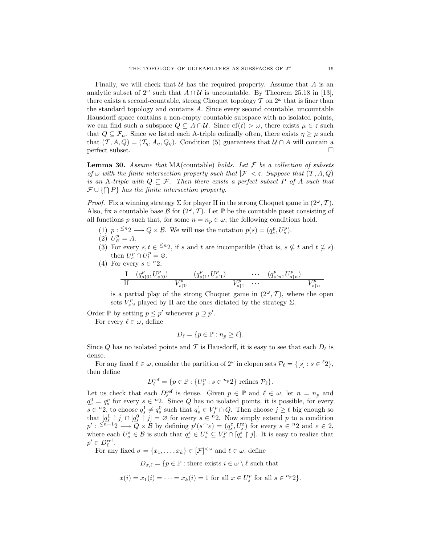Finally, we will check that  $U$  has the required property. Assume that A is an analytic subset of  $2^{\omega}$  such that  $A \cap U$  is uncountable. By Theorem 25.18 in [13], there exists a second-countable, strong Choquet topology  $\mathcal T$  on  $2^{\omega}$  that is finer than the standard topology and contains A. Since every second countable, uncountable Hausdorff space contains a non-empty countable subspace with no isolated points, we can find such a subspace  $Q \subseteq A \cap U$ . Since  $cf(\mathfrak{c}) > \omega$ , there exists  $\mu \in \mathfrak{c}$  such that  $Q \subseteq \mathcal{F}_{\mu}$ . Since we listed each A-triple cofinally often, there exists  $\eta \geq \mu$  such that  $(\mathcal{T}, A, Q) = (\mathcal{T}_\eta, A_\eta, Q_\eta)$ . Condition (5) guarantees that  $\mathcal{U} \cap A$  will contain a  $\Box$ 

**Lemma 30.** Assume that MA(countable) holds. Let  $\mathcal F$  be a collection of subsets of  $\omega$  with the finite intersection property such that  $|\mathcal{F}| < \mathfrak{c}$ . Suppose that  $(\mathcal{T}, A, Q)$ is an A-triple with  $Q \subseteq \mathcal{F}$ . Then there exists a perfect subset P of A such that  $\mathcal{F} \cup \{\bigcap P\}$  has the finite intersection property.

*Proof.* Fix a winning strategy  $\Sigma$  for player II in the strong Choquet game in  $(2^{\omega}, \mathcal{T})$ . Also, fix a countable base B for  $(2^{\omega}, \mathcal{T})$ . Let P be the countable poset consisting of all functions p such that, for some  $n = n_p \in \omega$ , the following conditions hold.

- (1)  $p: \leq n_2 \longrightarrow Q \times \mathcal{B}$ . We will use the notation  $p(s) = (q_s^p, U_s^p)$ .
- $(2)$   $U_{\varnothing}^p = A.$
- (3) For every  $s, t \in \leq n$ , if s and t are incompatible (that is,  $s \nsubseteq t$  and  $t \nsubseteq s$ ) then  $U_s^p \cap U_t^p = \varnothing$ .
- (4) For every  $s \in {}^n 2$ ,

$$
\frac{\mathrm{I} \quad (q_{s\restriction 0}^p, U_{s\restriction 0}^p) \qquad (q_{s\restriction 1}^p, U_{s\restriction 1}^p) \qquad \cdots \qquad (q_{s\restriction n}^p, U_{s\restriction n}^p) }{\mathrm{I} \mathrm{I} \qquad \qquad V_{s\restriction 1}^p \quad \cdots \qquad V_{s\restriction n}^p} \qquad \qquad V_{s\restriction n}^p}
$$

is a partial play of the strong Choquet game in  $(2^{\omega}, \mathcal{T})$ , where the open sets  $V_{s|i}^p$  played by II are the ones dictated by the strategy  $\Sigma$ .

Order  $\mathbb P$  by setting  $p \leq p'$  whenever  $p \supseteq p'$ .

For every  $\ell \in \omega$ , define

$$
D_{\ell} = \{ p \in \mathbb{P} : n_p \ge \ell \}.
$$

Since Q has no isolated points and T is Hausdorff, it is easy to see that each  $D_{\ell}$  is dense.

For any fixed  $\ell \in \omega$ , consider the partition of  $2^{\omega}$  in clopen sets  $\mathcal{P}_{\ell} = \{ [s] : s \in {}^{\ell}2 \},\$ then define

$$
D_{\ell}^{\text{ref}} = \{ p \in \mathbb{P} : \{ U_s^p : s \in {}^{n_p}2 \} \text{ refines } \mathcal{P}_{\ell} \}.
$$

Let us check that each  $D_{\ell}^{\text{ref}}$  is dense. Given  $p \in \mathbb{P}$  and  $\ell \in \omega$ , let  $n = n_p$  and  $q_s^0 = q_s^p$  for every  $s \in {}^n2$ . Since Q has no isolated points, it is possible, for every  $s \in {}^n2$ , to choose  $q_s^1 \neq q_s^0$  such that  $q_s^1 \in V_s^p \cap Q$ . Then choose  $j \geq \ell$  big enough so that  $[q_s^1 \mid j] \cap [q_s^0 \mid j] = \emptyset$  for every  $s \in {}^{n}2$ . Now simply extend p to a condition  $p' : \leq^{n+1}2 \longrightarrow Q \times \mathcal{B}$  by defining  $p'(s^{\frown} \varepsilon) = (q_s^{\varepsilon}, U_s^{\varepsilon})$  for every  $s \in {}^n2$  and  $\varepsilon \in 2$ , where each  $U_s^{\varepsilon} \in \mathcal{B}$  is such that  $q_s^{\varepsilon} \in U_s^{\varepsilon} \subseteq V_s^{\rho} \cap [q_s^{\varepsilon} \restriction j]$ . It is easy to realize that  $p' \in D_{\ell}^{\text{ref}}.$ 

For any fixed  $\sigma = \{x_1, \ldots, x_k\} \in [\mathcal{F}]^{<\omega}$  and  $\ell \in \omega$ , define

 $D_{\sigma,\ell} = \{p \in \mathbb{P} : \text{there exists } i \in \omega \setminus \ell \text{ such that }\}$ 

$$
x(i) = x_1(i) = \cdots = x_k(i) = 1
$$
 for all  $x \in U_s^p$  for all  $s \in {}^{n_p}2$ .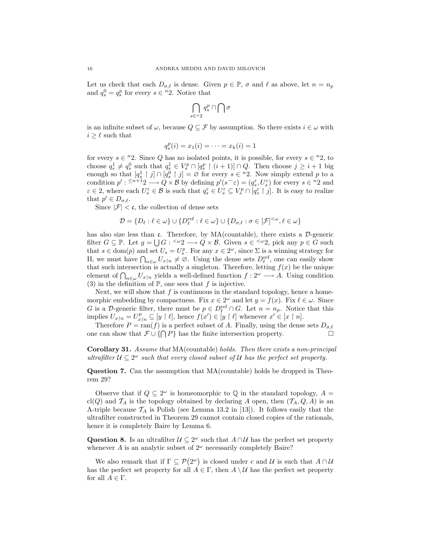Let us check that each  $D_{\sigma,\ell}$  is dense. Given  $p \in \mathbb{P}$ ,  $\sigma$  and  $\ell$  as above, let  $n = n_p$ and  $q_s^0 = q_s^p$  for every  $s \in {}^n 2$ . Notice that

$$
\bigcap_{s\in{}^n 2}q_s^p\cap \bigcap\sigma
$$

is an infinite subset of  $\omega$ , because  $Q \subseteq \mathcal{F}$  by assumption. So there exists  $i \in \omega$  with  $i \geq \ell$  such that

$$
q_s^p(i) = x_1(i) = \dots = x_k(i) = 1
$$

for every  $s \in \{n\}$ . Since Q has no isolated points, it is possible, for every  $s \in \{n\}$ , to choose  $q_s^1 \neq q_s^0$  such that  $q_s^1 \in V_s^p \cap [q_s^p \restriction (i+1)] \cap Q$ . Then choose  $j \geq i+1$  big enough so that  $[q_s^1 \upharpoonright j] \cap [q_s^0 \upharpoonright j] = \varnothing$  for every  $s \in {}^n 2$ . Now simply extend p to a condition  $p' : \leq^{n+1} 2 \longrightarrow Q \times \mathcal{B}$  by defining  $p'(s \widehat{\phantom{\cdot}} \varepsilon) = (q_s^{\varepsilon}, U_s^{\varepsilon})$  for every  $s \in {}^n 2$  and  $\varepsilon \in 2$ , where each  $U_s^{\varepsilon} \in \mathcal{B}$  is such that  $q_s^{\varepsilon} \in U_s^{\varepsilon} \subseteq V_s^p \cap [q_s^{\varepsilon} \restriction j]$ . It is easy to realize that  $p' \in D_{\sigma,\ell}$ .

Since  $|\mathcal{F}| < \mathfrak{c}$ , the collection of dense sets

$$
\mathcal{D} = \{D_\ell : \ell \in \omega\} \cup \{D^{\mathrm{ref}}_\ell : \ell \in \omega\} \cup \{D_{\sigma,\ell} : \sigma \in [\mathcal{F}]^{<\omega}, \ell \in \omega\}
$$

has also size less than c. Therefore, by  $MA$ (countable), there exists a  $\mathcal{D}$ -generic filter  $G \subseteq \mathbb{P}$ . Let  $g = \bigcup G : \langle \omega_2 \rangle \longrightarrow Q \times \mathcal{B}$ . Given  $s \in \langle \omega_2 \rangle$ , pick any  $p \in G$  such that  $s \in \text{dom}(p)$  and set  $U_s = U_s^p$ . For any  $x \in 2^\omega$ , since  $\Sigma$  is a winning strategy for II, we must have  $\bigcap_{n\in\omega}U_{x|n}\neq\emptyset$ . Using the dense sets  $D_{\ell}^{\text{ref}}$ , one can easily show that such intersection is actually a singleton. Therefore, letting  $f(x)$  be the unique element of  $\bigcap_{n\in\omega}U_{x\upharpoonright n}$  yields a well-defined function  $f:2^{\omega}\longrightarrow A$ . Using condition (3) in the definition of  $\mathbb{P}$ , one sees that f is injective.

Next, we will show that  $f$  is continuous in the standard topology, hence a homemorphic embedding by compactness. Fix  $x \in 2^{\omega}$  and let  $y = f(x)$ . Fix  $\ell \in \omega$ . Since G is a D-generic filter, there must be  $p \in D_{\ell}^{\text{ref}} \cap G$ . Let  $n = n_p$ . Notice that this implies  $U_{x\upharpoonright n} = U_{x\upharpoonright n}^p \subseteq [y \upharpoonright \ell],$  hence  $f(x') \in [y \upharpoonright \ell]$  whenever  $x' \in [x \upharpoonright n].$ 

Therefore  $P = \text{ran}(f)$  is a perfect subset of A. Finally, using the dense sets  $D_{\sigma,\ell}$ one can show that  $\mathcal{F} \cup \{ \cap P \}$  has the finite intersection property.  $□$ 

Corollary 31. Assume that MA(countable) holds. Then there exists a non-principal ultrafilter  $\mathcal{U} \subseteq 2^{\omega}$  such that every closed subset of U has the perfect set property.

Question 7. Can the assumption that MA(countable) holds be dropped in Theorem 29?

Observe that if  $Q \subseteq 2^{\omega}$  is homeomorphic to  $\mathbb Q$  in the standard topology,  $A =$ cl(Q) and  $\mathcal{T}_A$  is the topology obtained by declaring A open, then  $(\mathcal{T}_A, Q, A)$  is an A-triple because  $\mathcal{T}_A$  is Polish (see Lemma 13.2 in [13]). It follows easily that the ultrafilter constructed in Theorem 29 cannot contain closed copies of the rationals, hence it is completely Baire by Lemma 6.

Question 8. Is an ultrafilter  $\mathcal{U} \subseteq 2^{\omega}$  such that  $A \cap \mathcal{U}$  has the perfect set property whenever A is an analytic subset of  $2^{\omega}$  necessarily completely Baire?

We also remark that if  $\Gamma \subseteq \mathcal{P}(2^{\omega})$  is closed under c and U is such that  $A \cap U$ has the perfect set property for all  $A \in \Gamma$ , then  $A \setminus U$  has the perfect set property for all  $A \in \Gamma$ .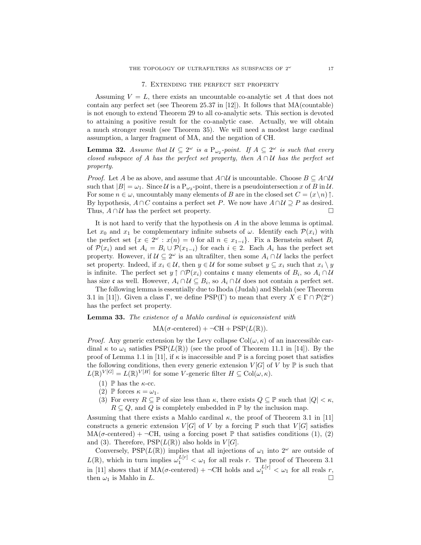#### 7. Extending the perfect set property

Assuming  $V = L$ , there exists an uncountable co-analytic set A that does not contain any perfect set (see Theorem 25.37 in [12]). It follows that MA(countable) is not enough to extend Theorem 29 to all co-analytic sets. This section is devoted to attaining a positive result for the co-analytic case. Actually, we will obtain a much stronger result (see Theorem 35). We will need a modest large cardinal assumption, a larger fragment of MA, and the negation of CH.

**Lemma 32.** Assume that  $U \subseteq 2^{\omega}$  is a  $P_{\omega_2}$ -point. If  $A \subseteq 2^{\omega}$  is such that every closed subspace of A has the perfect set property, then  $A \cap U$  has the perfect set property.

*Proof.* Let A be as above, and assume that  $A \cap U$  is uncountable. Choose  $B \subseteq A \cap U$ such that  $|B| = \omega_1$ . Since U is a P<sub> $\omega_2$ </sub>-point, there is a pseudointersection x of B in U. For some  $n \in \omega$ , uncountably many elements of B are in the closed set  $C = (x \nmid n) \uparrow$ . By hypothesis,  $A \cap C$  contains a perfect set P. We now have  $A \cap U \supseteq P$  as desired. Thus,  $A \cap U$  has the perfect set property.

It is not hard to verify that the hypothesis on A in the above lemma is optimal. Let  $x_0$  and  $x_1$  be complementary infinite subsets of  $\omega$ . Identify each  $\mathcal{P}(x_i)$  with the perfect set  $\{x \in 2^{\omega} : x(n) = 0 \text{ for all } n \in x_{1-i}\}.$  Fix a Bernstein subset  $B_i$ of  $\mathcal{P}(x_i)$  and set  $A_i = B_i \cup \mathcal{P}(x_{1-i})$  for each  $i \in 2$ . Each  $A_i$  has the perfect set property. However, if  $\mathcal{U} \subseteq 2^{\omega}$  is an ultrafilter, then some  $A_i \cap \mathcal{U}$  lacks the perfect set property. Indeed, if  $x_i \in \mathcal{U}$ , then  $y \in \mathcal{U}$  for some subset  $y \subseteq x_i$  such that  $x_i \setminus y$ is infinite. The perfect set  $y \uparrow \cap \mathcal{P}(x_i)$  contains c many elements of  $B_i$ , so  $A_i \cap \mathcal{U}$ has size c as well. However,  $A_i \cap U \subseteq B_i$ , so  $A_i \cap U$  does not contain a perfect set.

The following lemma is essentially due to Ihoda (Judah) and Shelah (see Theorem 3.1 in [11]). Given a class  $\Gamma$ , we define  $PSP(\Gamma)$  to mean that every  $X \in \Gamma \cap \mathcal{P}(2^{\omega})$ has the perfect set property.

### Lemma 33. The existence of a Mahlo cardinal is equiconsistent with

 $MA(\sigma\text{-centered}) + \neg CH + PSP(L(\mathbb{R})).$ 

*Proof.* Any generic extension by the Levy collapse  $Col(\omega, \kappa)$  of an inaccessible cardinal  $\kappa$  to  $\omega_1$  satisfies PSP( $L(\mathbb{R})$ ) (see the proof of Theorem 11.1 in [14]). By the proof of Lemma 1.1 in [11], if  $\kappa$  is inaccessible and  $\mathbb P$  is a forcing poset that satisfies the following conditions, then every generic extension  $V[G]$  of V by  $\mathbb P$  is such that  $L(\mathbb{R})^{V[G]} = L(\mathbb{R})^{V[H]}$  for some V-generic filter  $H \subseteq \text{Col}(\omega,\kappa)$ .

- (1)  $\mathbb P$  has the  $\kappa$ -cc.
- (2) P forces  $\kappa = \omega_1$ .
- (3) For every  $R \subseteq \mathbb{P}$  of size less than  $\kappa$ , there exists  $Q \subseteq \mathbb{P}$  such that  $|Q| < \kappa$ ,  $R \subseteq Q$ , and Q is completely embedded in  $\mathbb P$  by the inclusion map.

Assuming that there exists a Mahlo cardinal  $\kappa$ , the proof of Theorem 3.1 in [11] constructs a generic extension  $V[G]$  of V by a forcing  $\mathbb P$  such that  $V[G]$  satisfies  $MA(\sigma\text{-centered}) + \neg CH$ , using a forcing poset  $\mathbb P$  that satisfies conditions (1), (2) and (3). Therefore,  $PSP(L(\mathbb{R}))$  also holds in  $V[G]$ .

Conversely, PSP( $L(\mathbb{R})$ ) implies that all injections of  $\omega_1$  into  $2^{\omega}$  are outside of  $L(\mathbb{R})$ , which in turn implies  $\omega_1^{L[r]} < \omega_1$  for all reals r. The proof of Theorem 3.1 in [11] shows that if  $MA(\sigma\text{-centered}) + \neg \text{CH}$  holds and  $\omega_1^{L[r]} < \omega_1$  for all reals r, then  $\omega_1$  is Mahlo in L.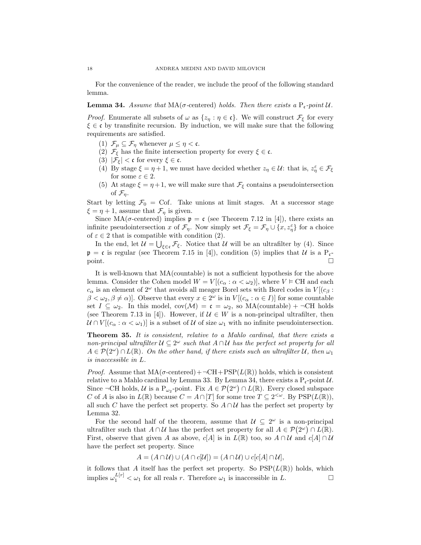For the convenience of the reader, we include the proof of the following standard lemma.

**Lemma 34.** Assume that  $MA(\sigma$ -centered) holds. Then there exists a  $P_c$ -point U.

*Proof.* Enumerate all subsets of  $\omega$  as  $\{z_n : \eta \in \mathfrak{c}\}\$ . We will construct  $\mathcal{F}_{\xi}$  for every  $\xi \in \mathfrak{c}$  by transfinite recursion. By induction, we will make sure that the following requirements are satisfied.

- (1)  $\mathcal{F}_{\mu} \subseteq \mathcal{F}_{\eta}$  whenever  $\mu \leq \eta < \mathfrak{c}$ .
- (2)  $\mathcal{F}_{\xi}$  has the finite intersection property for every  $\xi \in \mathfrak{c}$ .
- (3)  $|\mathcal{F}_{\xi}| < \mathfrak{c}$  for every  $\xi \in \mathfrak{c}$ .
- (4) By stage  $\xi = \eta + 1$ , we must have decided whether  $z_{\eta} \in \mathcal{U}$ : that is,  $z_{\eta}^{\varepsilon} \in \mathcal{F}_{\xi}$ for some  $\varepsilon \in 2$ .
- (5) At stage  $\xi = \eta + 1$ , we will make sure that  $\mathcal{F}_{\xi}$  contains a pseudointersection of  $\mathcal{F}_\eta$ .

Start by letting  $\mathcal{F}_0 = \text{Cof}$ . Take unions at limit stages. At a successor stage  $\xi = \eta + 1$ , assume that  $\mathcal{F}_{\eta}$  is given.

Since MA( $\sigma$ -centered) implies  $\mathfrak{p} = \mathfrak{c}$  (see Theorem 7.12 in [4]), there exists an infinite pseudointersection x of  $\mathcal{F}_\eta$ . Now simply set  $\mathcal{F}_\xi = \mathcal{F}_\eta \cup \{x, z_\eta^{\varepsilon}\}$  for a choice of  $\varepsilon \in 2$  that is compatible with condition (2).

In the end, let  $\mathcal{U} = \bigcup_{\xi \in \mathfrak{c}} \mathcal{F}_{\xi}$ . Notice that  $\mathcal{U}$  will be an ultrafilter by (4). Since  $\mathfrak{p} = \mathfrak{c}$  is regular (see Theorem 7.15 in [4]), condition (5) implies that U is a P<sub>c</sub> $point.$ 

It is well-known that MA(countable) is not a sufficient hypothesis for the above lemma. Consider the Cohen model  $W = V[(c_{\alpha} : \alpha < \omega_2)]$ , where  $V \models$  CH and each  $c_{\alpha}$  is an element of  $2^{\omega}$  that avoids all meager Borel sets with Borel codes in  $V[(c_{\beta} :$  $\beta < \omega_2, \beta \neq \alpha$ ]. Observe that every  $x \in 2^{\omega}$  is in  $V[(c_{\alpha} : \alpha \in I)]$  for some countable set  $I \subseteq \omega_2$ . In this model,  $cov(\mathcal{M}) = c = \omega_2$ , so MA(countable) +  $\neg$ CH holds (see Theorem 7.13 in [4]). However, if  $\mathcal{U} \in W$  is a non-principal ultrafilter, then  $U \cap V[(c_{\alpha}: \alpha < \omega_1)]$  is a subset of U of size  $\omega_1$  with no infinite pseudointersection.

Theorem 35. It is consistent, relative to a Mahlo cardinal, that there exists a non-principal ultrafilter  $\mathcal{U} \subseteq 2^{\omega}$  such that  $A \cap \mathcal{U}$  has the perfect set property for all  $A \in \mathcal{P}(2^{\omega}) \cap L(\mathbb{R})$ . On the other hand, if there exists such an ultrafilter U, then  $\omega_1$ is inaccessible in L.

*Proof.* Assume that  $MA(\sigma\text{-centered}) + \neg CH + PSP(L(\mathbb{R}))$  holds, which is consistent relative to a Mahlo cardinal by Lemma 33. By Lemma 34, there exists a  $P_c$ -point  $U$ . Since  $\neg$ CH holds, U is a P<sub> $\omega_2$ </sub>-point. Fix  $A \in \mathcal{P}(2^{\omega}) \cap L(\mathbb{R})$ . Every closed subspace C of A is also in  $L(\mathbb{R})$  because  $C = A \cap [T]$  for some tree  $T \subseteq 2^{<\omega}$ . By  $\text{PSP}(L(\mathbb{R}))$ , all such C have the perfect set property. So  $A \cap U$  has the perfect set property by Lemma 32.

For the second half of the theorem, assume that  $\mathcal{U} \subseteq 2^{\omega}$  is a non-principal ultrafilter such that  $A \cap U$  has the perfect set property for all  $A \in \mathcal{P}(2^{\omega}) \cap L(\mathbb{R})$ . First, observe that given A as above,  $c[A]$  is in  $L(\mathbb{R})$  too, so  $A \cap U$  and  $c[A] \cap U$ have the perfect set property. Since

$$
A = (A \cap U) \cup (A \cap c[U]) = (A \cap U) \cup c[c[A] \cap U],
$$

it follows that A itself has the perfect set property. So  $\text{PSP}(L(\mathbb{R}))$  holds, which implies  $\omega_1^{L[r]} < \omega_1$  for all reals r. Therefore  $\omega_1$  is inaccessible in L.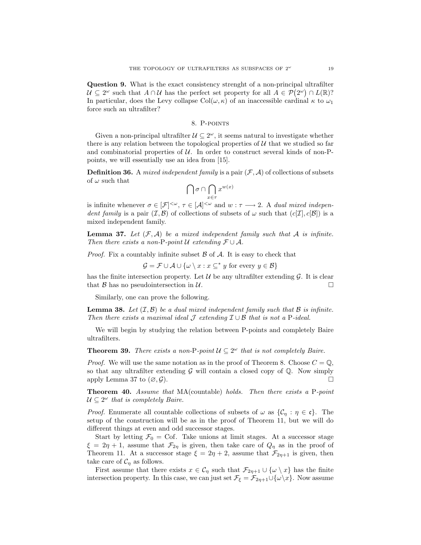Question 9. What is the exact consistency strenght of a non-principal ultrafilter  $\mathcal{U} \subseteq 2^{\omega}$  such that  $A \cap \mathcal{U}$  has the perfect set property for all  $A \in \mathcal{P}(2^{\omega}) \cap L(\mathbb{R})$ ? In particular, does the Levy collapse  $Col(\omega, \kappa)$  of an inaccessible cardinal  $\kappa$  to  $\omega_1$ force such an ultrafilter?

#### 8. P-points

Given a non-principal ultrafilter  $\mathcal{U} \subseteq 2^{\omega}$ , it seems natural to investigate whether there is any relation between the topological properties of  $U$  that we studied so far and combinatorial properties of  $U$ . In order to construct several kinds of non-Ppoints, we will essentially use an idea from [15].

**Definition 36.** A *mixed independent family* is a pair  $(\mathcal{F}, \mathcal{A})$  of collections of subsets of  $\omega$  such that

$$
\bigcap\sigma\cap\bigcap_{x\in\tau}x^{w(x)}
$$

is infinite whenever  $\sigma \in [\mathcal{F}]^{<\omega}$ ,  $\tau \in [\mathcal{A}]^{<\omega}$  and  $w : \tau \longrightarrow 2$ . A *dual mixed indepen*dent family is a pair  $(\mathcal{I}, \mathcal{B})$  of collections of subsets of  $\omega$  such that  $(c[\mathcal{I}], c[\mathcal{B}])$  is a mixed independent family.

**Lemma 37.** Let  $(\mathcal{F}, \mathcal{A})$  be a mixed independent family such that A is infinite. Then there exists a non-P-point  $\mathcal U$  extending  $\mathcal F \cup \mathcal A$ .

*Proof.* Fix a countably infinite subset  $\beta$  of  $\mathcal A$ . It is easy to check that

 $\mathcal{G} = \mathcal{F} \cup \mathcal{A} \cup \{ \omega \setminus x : x \subseteq^* y \text{ for every } y \in \mathcal{B} \}$ 

has the finite intersection property. Let  $\mathcal U$  be any ultrafilter extending  $\mathcal G$ . It is clear that  $\beta$  has no pseudointersection in  $\mathcal{U}$ .

Similarly, one can prove the following.

**Lemma 38.** Let  $(\mathcal{I}, \mathcal{B})$  be a dual mixed independent family such that  $\mathcal{B}$  is infinite. Then there exists a maximal ideal  $\mathcal J$  extending  $\mathcal I \cup \mathcal B$  that is not a P-ideal.

We will begin by studying the relation between P-points and completely Baire ultrafilters.

**Theorem 39.** There exists a non-P-point  $\mathcal{U} \subseteq 2^{\omega}$  that is not completely Baire.

*Proof.* We will use the same notation as in the proof of Theorem 8. Choose  $C = \mathbb{Q}$ , so that any ultrafilter extending  $G$  will contain a closed copy of  $Q$ . Now simply apply Lemma 37 to  $(\emptyset, \mathcal{G})$ .

Theorem 40. Assume that MA(countable) holds. Then there exists a P-point  $\mathcal{U} \subseteq 2^{\omega}$  that is completely Baire.

*Proof.* Enumerate all countable collections of subsets of  $\omega$  as  $\{\mathcal{C}_\eta : \eta \in \mathfrak{c}\}\$ . The setup of the construction will be as in the proof of Theorem 11, but we will do different things at even and odd successor stages.

Start by letting  $\mathcal{F}_0 = \text{Cof}$ . Take unions at limit stages. At a successor stage  $\xi = 2\eta + 1$ , assume that  $\mathcal{F}_{2\eta}$  is given, then take care of  $Q_{\eta}$  as in the proof of Theorem 11. At a successor stage  $\xi = 2\eta + 2$ , assume that  $\mathcal{F}_{2\eta+1}$  is given, then take care of  $C_{\eta}$  as follows.

First assume that there exists  $x \in C_{\eta}$  such that  $\mathcal{F}_{2\eta+1} \cup \{\omega \setminus x\}$  has the finite intersection property. In this case, we can just set  $\mathcal{F}_{\xi} = \mathcal{F}_{2\eta+1} \cup \{\omega \setminus x\}$ . Now assume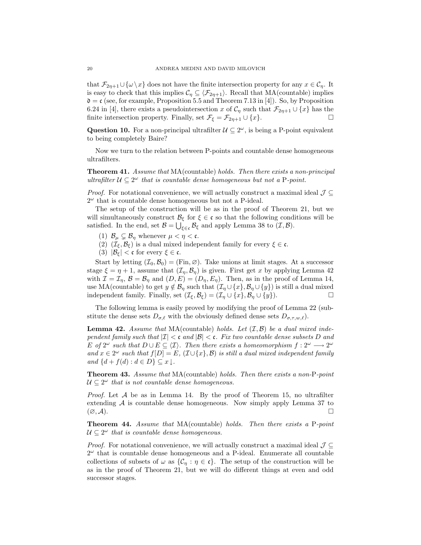that  $\mathcal{F}_{2n+1}\cup\{\omega\setminus x\}$  does not have the finite intersection property for any  $x\in\mathcal{C}_n$ . It is easy to check that this implies  $C_\eta \subseteq \langle \mathcal{F}_{2\eta+1} \rangle$ . Recall that MA(countable) implies  $\mathfrak{d} = \mathfrak{c}$  (see, for example, Proposition 5.5 and Theorem 7.13 in [4]). So, by Proposition 6.24 in [4], there exists a pseudointersection x of  $C_\eta$  such that  $\mathcal{F}_{2\eta+1} \cup \{x\}$  has the finite intersection property. Finally, set  $\mathcal{F}_{\xi} = \mathcal{F}_{2\eta+1} \cup \{x\}.$ 

Question 10. For a non-principal ultrafilter  $\mathcal{U} \subseteq 2^{\omega}$ , is being a P-point equivalent to being completely Baire?

Now we turn to the relation between P-points and countable dense homogeneous ultrafilters.

Theorem 41. Assume that MA(countable) holds. Then there exists a non-principal ultrafilter  $\mathcal{U} \subseteq 2^{\omega}$  that is countable dense homogeneous but not a P-point.

*Proof.* For notational convenience, we will actually construct a maximal ideal  $\mathcal{J} \subseteq$  $2^{\omega}$  that is countable dense homogeneous but not a P-ideal.

The setup of the construction will be as in the proof of Theorem 21, but we will simultaneously construct  $\mathcal{B}_{\xi}$  for  $\xi \in \mathfrak{c}$  so that the following conditions will be satisfied. In the end, set  $\mathcal{B} = \bigcup_{\xi \in \mathfrak{c}} \mathcal{B}_{\xi}$  and apply Lemma 38 to  $(\mathcal{I}, \mathcal{B})$ .

- (1)  $\mathcal{B}_{\mu} \subsetneq \mathcal{B}_{\eta}$  whenever  $\mu < \eta < \mathfrak{c}$ .
- (2)  $(\mathcal{I}_{\xi}, \mathcal{B}_{\xi})$  is a dual mixed independent family for every  $\xi \in \mathfrak{c}$ .
- (3)  $|\mathcal{B}_{\xi}| < \mathfrak{c}$  for every  $\xi \in \mathfrak{c}$ .

Start by letting  $(\mathcal{I}_0, \mathcal{B}_0) = (\text{Fin}, \varnothing)$ . Take unions at limit stages. At a successor stage  $\xi = \eta + 1$ , assume that  $(\mathcal{I}_n, \mathcal{B}_n)$  is given. First get x by applying Lemma 42 with  $\mathcal{I} = \mathcal{I}_{\eta}, \mathcal{B} = \mathcal{B}_{\eta}$  and  $(D, E) = (D_{\eta}, E_{\eta})$ . Then, as in the proof of Lemma 14, use MA(countable) to get  $y \notin \mathcal{B}_\eta$  such that  $(\mathcal{I}_\eta \cup \{x\}, \mathcal{B}_\eta \cup \{y\})$  is still a dual mixed independent family. Finally, set  $(\mathcal{I}_{\xi}, \mathcal{B}_{\xi}) = (\mathcal{I}_{\eta} \cup \{x\}, \mathcal{B}_{\eta} \cup \{y\}).$ 

The following lemma is easily proved by modifying the proof of Lemma 22 (substitute the dense sets  $D_{\sigma,\ell}$  with the obviously defined dense sets  $D_{\sigma,\tau,w,\ell}$ .

**Lemma 42.** Assume that MA(countable) holds. Let  $(\mathcal{I}, \mathcal{B})$  be a dual mixed independent family such that  $|\mathcal{I}| < \mathfrak{c}$  and  $|\mathcal{B}| < \mathfrak{c}$ . Fix two countable dense subsets D and E of  $2^{\omega}$  such that  $D \cup E \subseteq \langle \mathcal{I} \rangle$ . Then there exists a homeomorphism  $f : 2^{\omega} \longrightarrow 2^{\omega}$ and  $x \in 2^{\omega}$  such that  $f[D] = E$ ,  $(\mathcal{I} \cup \{x\}, \mathcal{B})$  is still a dual mixed independent family and  $\{d + f(d) : d \in D\} \subseteq x \downarrow$ .

**Theorem 43.** Assume that MA(countable) holds. Then there exists a non-P-point  $\mathcal{U} \subseteq 2^{\omega}$  that is not countable dense homogeneous.

*Proof.* Let  $A$  be as in Lemma 14. By the proof of Theorem 15, no ultrafilter extending  $A$  is countable dense homogeneous. Now simply apply Lemma 37 to  $(\varnothing,\mathcal{A}).$ 

Theorem 44. Assume that MA(countable) holds. Then there exists a P-point  $\mathcal{U} \subseteq 2^{\omega}$  that is countable dense homogeneous.

*Proof.* For notational convenience, we will actually construct a maximal ideal  $\mathcal{J} \subseteq$  $2^{\omega}$  that is countable dense homogeneous and a P-ideal. Enumerate all countable collections of subsets of  $\omega$  as  $\{\mathcal{C}_\eta : \eta \in \mathfrak{c}\}\$ . The setup of the construction will be as in the proof of Theorem 21, but we will do different things at even and odd successor stages.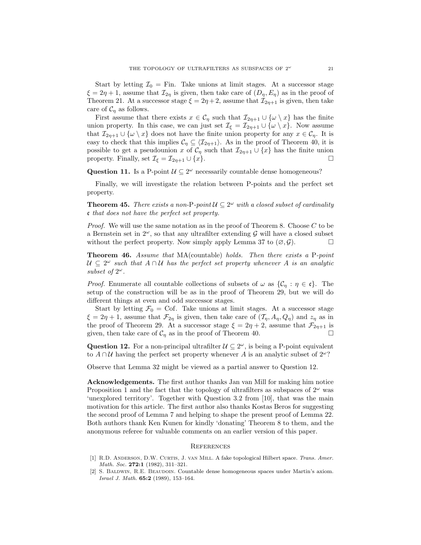Start by letting  $\mathcal{I}_0 =$  Fin. Take unions at limit stages. At a successor stage  $\xi = 2\eta + 1$ , assume that  $\mathcal{I}_{2\eta}$  is given, then take care of  $(D_{\eta}, E_{\eta})$  as in the proof of Theorem 21. At a successor stage  $\xi = 2\eta + 2$ , assume that  $\mathcal{I}_{2\eta+1}$  is given, then take care of  $C_n$  as follows.

First assume that there exists  $x \in C_\eta$  such that  $\mathcal{I}_{2\eta+1} \cup {\omega \setminus x}$  has the finite union property. In this case, we can just set  $\mathcal{I}_{\xi} = \mathcal{I}_{2\eta+1} \cup \{\omega \setminus x\}$ . Now assume that  $\mathcal{I}_{2\eta+1}\cup\{\omega\setminus x\}$  does not have the finite union property for any  $x\in\mathcal{C}_\eta$ . It is easy to check that this implies  $C_\eta \subseteq \langle \mathcal{I}_{2\eta+1} \rangle$ . As in the proof of Theorem 40, it is possible to get a pseudounion x of  $C_{\eta}$  such that  $\mathcal{I}_{2\eta+1}\cup\{x\}$  has the finite union property. Finally, set  $\mathcal{I}_{\xi} = \mathcal{I}_{2\eta+1} \cup \{x\}.$ 

Question 11. Is a P-point  $\mathcal{U} \subseteq 2^{\omega}$  necessarily countable dense homogeneous?

Finally, we will investigate the relation between P-points and the perfect set property.

**Theorem 45.** There exists a non-P-point  $\mathcal{U} \subseteq 2^{\omega}$  with a closed subset of cardinality c that does not have the perfect set property.

*Proof.* We will use the same notation as in the proof of Theorem 8. Choose  $C$  to be a Bernstein set in  $2^{\omega}$ , so that any ultrafilter extending G will have a closed subset without the perfect property. Now simply apply Lemma 37 to  $(\emptyset, \mathcal{G})$ .

Theorem 46. Assume that MA(countable) holds. Then there exists a P-point  $U \subseteq 2^{\omega}$  such that  $A \cap U$  has the perfect set property whenever A is an analytic subset of  $2^{\omega}$ .

*Proof.* Enumerate all countable collections of subsets of  $\omega$  as  $\{\mathcal{C}_\eta : \eta \in \mathfrak{c}\}\$ . The setup of the construction will be as in the proof of Theorem 29, but we will do different things at even and odd successor stages.

Start by letting  $\mathcal{F}_0 = \text{Cof.}$  Take unions at limit stages. At a successor stage  $\xi = 2\eta + 1$ , assume that  $\mathcal{F}_{2\eta}$  is given, then take care of  $(\mathcal{T}_{\eta}, A_{\eta}, Q_{\eta})$  and  $z_{\eta}$  as in the proof of Theorem 29. At a successor stage  $\xi = 2\eta + 2$ , assume that  $\mathcal{F}_{2\eta+1}$  is given, then take care of  $C_n$  as in the proof of Theorem 40.

Question 12. For a non-principal ultrafilter  $\mathcal{U} \subseteq 2^\omega$ , is being a P-point equivalent to  $A \cap U$  having the perfect set property whenever A is an analytic subset of  $2^{\omega}$ ?

Observe that Lemma 32 might be viewed as a partial answer to Question 12.

Acknowledgements. The first author thanks Jan van Mill for making him notice Proposition 1 and the fact that the topology of ultrafilters as subspaces of  $2^{\omega}$  was 'unexplored territory'. Together with Question 3.2 from [10], that was the main motivation for this article. The first author also thanks Kostas Beros for suggesting the second proof of Lemma 7 and helping to shape the present proof of Lemma 22. Both authors thank Ken Kunen for kindly 'donating' Theorem 8 to them, and the anonymous referee for valuable comments on an earlier version of this paper.

#### **REFERENCES**

- [1] R.D. Anderson, D.W. Curtis, J. van Mill. A fake topological Hilbert space. Trans. Amer. Math. Soc. 272:1 (1982), 311-321.
- [2] S. Baldwin, R.E. Beaudoin. Countable dense homogeneous spaces under Martin's axiom. Israel J. Math. 65:2 (1989), 153–164.